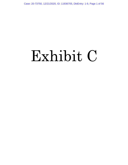Case: 20-73750, 12/21/2020, ID: 11936705, DktEntry: 1-9, Page 1 of 56

# Exhibit C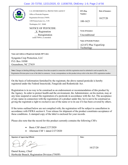# Case: 20-73750, 12/21/2020, ID: 11936705, DktEntry: 1-9, Page 2 of 56

| <b>SUMITED STATES</b><br><b>PROT</b>                                                                                                                                                                                                                                                                                                                                                                                                                                                                                                     | U.S. ENVIRONMENTAL PROTECTION AGENCY<br>Office of Pesticide Programs<br>Registration Division (7505P)<br>1200 Pennsylvania Ave., N.W.<br>Washington, D.C. 20460 | EPA Reg.<br>Number:<br>100-1623                                          | Date of Issuance:<br>10/27/20 |
|------------------------------------------------------------------------------------------------------------------------------------------------------------------------------------------------------------------------------------------------------------------------------------------------------------------------------------------------------------------------------------------------------------------------------------------------------------------------------------------------------------------------------------------|-----------------------------------------------------------------------------------------------------------------------------------------------------------------|--------------------------------------------------------------------------|-------------------------------|
|                                                                                                                                                                                                                                                                                                                                                                                                                                                                                                                                          | <b>NOTICE OF PESTICIDE:</b><br>$X$ Registration<br>Reregistration                                                                                               | <b>Term of Issuance:</b><br>Unconditional                                |                               |
|                                                                                                                                                                                                                                                                                                                                                                                                                                                                                                                                          | (under FIFRA, as amended)                                                                                                                                       | <b>Name of Pesticide Product:</b><br>A21472 Plus VaporGrip<br>Technology |                               |
|                                                                                                                                                                                                                                                                                                                                                                                                                                                                                                                                          | Name and Address of Registrant (include ZIP Code):                                                                                                              |                                                                          |                               |
| Syngenta Crop Protection, LLC<br>P.O. Box 18300<br>Greensboro, NC 27419                                                                                                                                                                                                                                                                                                                                                                                                                                                                  |                                                                                                                                                                 |                                                                          |                               |
| Note: Changes in labeling differing in substance from that accepted in connection with this registration must be submitted to and accepted by the<br>Registration Division prior to use of the label in commerce. In any correspondence on this product always refer to the above EPA registration number.                                                                                                                                                                                                                               |                                                                                                                                                                 |                                                                          |                               |
| On the basis of information furnished by the registrant, the above named pesticide is hereby<br>registered under the Federal Insecticide, Fungicide and Rodenticide Act.                                                                                                                                                                                                                                                                                                                                                                 |                                                                                                                                                                 |                                                                          |                               |
| Registration is in no way to be construed as an endorsement or recommendation of this product by<br>the Agency. In order to protect health and the environment, the Administrator, on his motion, may at<br>any time suspend or cancel the registration of a pesticide in accordance with the Act. The acceptance<br>of any name in connection with the registration of a product under this Act is not to be construed as<br>giving the registrant a right to exclusive use of the name or to its use if it has been covered by others. |                                                                                                                                                                 |                                                                          |                               |
| If the terms outlined below are not complied with, the registration will be subject to cancellation in<br>accordance with FIFRA section 6. Your release for shipment of the product constitutes acceptance of<br>these conditions. A stamped copy of the label is enclosed for your records.                                                                                                                                                                                                                                             |                                                                                                                                                                 |                                                                          |                               |
|                                                                                                                                                                                                                                                                                                                                                                                                                                                                                                                                          | Please also note that the record for this product currently contains the following CSFs:                                                                        |                                                                          |                               |
|                                                                                                                                                                                                                                                                                                                                                                                                                                                                                                                                          | Basic CSF dated 2/27/2020<br>Alternate CSF 1 dated 2/27/2020                                                                                                    |                                                                          |                               |
| <b>Signature of Approving Official:</b>                                                                                                                                                                                                                                                                                                                                                                                                                                                                                                  |                                                                                                                                                                 | Date:                                                                    |                               |
| Daniel Kenny, Chief                                                                                                                                                                                                                                                                                                                                                                                                                                                                                                                      |                                                                                                                                                                 | 10/27/20                                                                 |                               |

Herbicide Branch, Registration Division (7505P)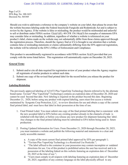Page 2 of 21 EPA Reg. No. 100-1623 Decision No. 565305

Should you wish to add/retain a reference to the company's website on your label, then please be aware that the website becomes labeling under the Federal Insecticide Fungicide and Rodenticide Act and is subject to review by the Agency. If the website is false or misleading, the product would be misbranded and unlawful to sell or distribute under FIFRA section 12(a)(1)(E). 40 CFR 156.10(a)(5) list examples of statements EPA may consider false or misleading. In addition, regardless of whether a website is referenced on your product's label, claims made on the website may not substantially differ from those claims approved through the registration process. Therefore, should the Agency find or if it is brought to our attention that a website contains false or misleading statements or claims substantially differing from the EPA approved registration, the website will be referred to the EPA's Office of Enforcement and Compliance.

This product is unconditionally registered in accordance with FIFRA section  $3(c)(5)$  provided that you comply with the terms listed below. This registration will automatically expire on December 20, 2025.

### *General Terms*

- 1. Submit and/or cite all data required for registration review of your product when the Agency requires all registrants of similar products to submit such data.
- 2. Submit one copy of the revised final printed label for the record before you release the product for shipment.

### *Labeling/Relabeling*

The previously approved labeling of A21472 Plus VaporGrip Technology [herein referred to by the alternate brand name: Tavium® Plus VaporGrip® Technology] contains an expiration date of December 20, 2020 and cannot be used beyond that date. New labeling is required on the product beyond this date. Beginning December 21, 2020, before using any product with expired labeling, users must first access a website maintained by Syngenta Crop Protection, LLC, to review directions for use and obtain a copy of the current final printed label, and must have that label in their possession at the time of use.

- 1. Final Printed Label. You must submit one copy of the final printed labeling that is consistent with the new accepted label to EPA before any existing product already in the channels of trade is relabeled with that label, or before you release any new product for shipment featuring that label. Any changes to the final printed labeling must be submitted to EPA before being used in future production.
- 2. Posting Updated Information for Users. From December 21, 2020 through December 20, 2025, you must maintain a website and publish the following material and statements in a clear and easily accessible manner:
	- a. A copy of the most current final printed label approved by EPA per paragraph 1;
	- b. "Tavium Plus VaporGrip Technology is a Restricted Use Pesticide.";
	- c. "The label affixed to the container in your possession may contain incomplete or outdated directions for use. Use of this product is prohibited unless the user has received and is in possession of the labeling linked on this website featuring an expiration date of December 20, 2025 at the time of use.";
	- d. "Users must comply in all respects with labeling featuring an expiration date of December 20, 2025, regardless of any contrary language on the label physically affixed to any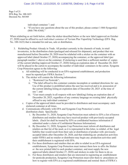Page 3 of 21 EPA Reg. No. 100-1623 Decision No. 565305

individual container."; and

e. "If you have any questions about the use of this product, please contact 1-866-Syngent(a) (866-796-4368)."

When relabeling as set forth below, either the sticker described below or the new label (approved on October 27, 2020) must be affixed to *each individual container* of Tavium Plus VaporGrip Technology (EPA Reg. No. 100-1623) that is intended for end use, sale or distribution.

- 3. Relabeling Product Already in Trade. All product currently in the channels of trade, in retail inventories, in the distribution chain (packaged and released for shipment), and product that was manufactured before December 20, 2020 must be relabeled with a sticker on the container with an approved label (dated October 27, 2020) accompanying the container, or the approved label (per paragraph number 1 above) on the container. If stickering is used then a sufficient number of copies of the current labeling (approved October 27, 2020) listing an expiration date of December 20, 2025 will be placed in the carton to accompany the number of individual containers in the carton. Syngenta Crop Protection agrees to the following:
	- a. All relabeling will be conducted in an EPA-registered establishment, and production must be reported per FIFRA Section 7.
	- b. The sticker will contain the following information:
		- i. "Restricted Use Pesticide";
		- ii. "The label affixed to this container contains incomplete or outdated directions for use. Use of this product is prohibited unless the user has received and is in possession of the current labeling listing an expiration date of December 20, 2025 at the time of use."; and
		- iii. "User must comply in all respects with new label(ing) listing an expiration date of December 20, 2025, regardless of any contrary language on existing label physically affixed to any individual container."
	- c. Copies of the approved labels must be provided to distributors and must accompany each stickered container at all times.
	- d. Communicate efficiently with EPA and Syngenta Crop Protection's entire distribution chain. Specifically:
		- i. By December 31, 2020, Syngenta Crop Protection must submit to EPA a list of known distributors and retailers that may have received product with previously-accepted labels. (Such list shall be treated by EPA as confidential business information if submitted under a claim of Confidential Business Information).
		- ii. By December 31, 2020, Syngenta Crop Protection must inform all distributors and retailers on that list of the need, as it is represented in this letter, to relabel, of the legal liability that would result from their sale or distribution of product with previouslyaccepted labels after December 20, 2020, and that relabeling are production activities under FIFRA and no retailer or distributor may begin any production activities until their establishment is registered with EPA.
		- iii. For those distributors and retailers that are able to relabel in an EPA-registered establishment, Syngenta Crop Protection must instruct them how to affix the Sticker or the new printed label to each product container, and must supply the new approved labels (dated October 27, 2020) and stickers in order for them to do so.
		- iv. For those distributors and retailers that are interested in registering an establishment for pesticide production, Syngenta Crop Protection must refer them to procedures on how to register with EPA as a registered establishment and remind them of FIFRA's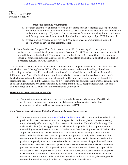Page 4 of 21 EPA Reg. No. 100-1623 Decision No. 565305

production reporting requirements.

- e. For those distributors and retailers who do not intend to relabel themselves, Syngenta Crop Protection must inform them who to contact so that Syngenta Crop Protection can immediately reclaim the inventory. If Syngenta Crop Protection performs the relabeling, it must be done at an EPA-registered establishment, and all production must be reported per FIFRA section 7.
- f. Syngenta Crop Protection must provide EPA a copy of each communication required above within 30 days of each communication.
- 4. New Production. Syngenta Crop Protection is responsible for ensuring all product produced, packaged, and released for shipment beginning December 21, 2020 and thereafter bears the new final printed labeling submitted to EPA per paragraph number 1 above. Syngenta Crop Protection must ensure all production activities take place in an EPA-registered establishment and that all production is reported pursuant to FIFRA section 7.

You are advised that if you wish to add/retain a reference to the company's website on your label, then the website becomes "labeling" under FIFRA. If the website content is false or misleading, all products referencing the website would be misbranded and it would be unlawful to sell or distribute them under FIFRA section 12(a)(1)(E). In addition, regardless of whether a website is referenced on your product's label, claims made on the website may not substantially differ from those claims approved through the registration process. Should the Agency find, or if it is brought to our attention, that a website contains false or misleading statements or claims substantially differing from the EPA-accepted registration, the matter will be referred to the EPA's Office of Enforcement and Compliance.

### *Herbicide Resistance Management Plan*

5. You must maintain, update and follow an Herbicide Resistance Management Plan (HRM) as described in Appendix D regarding field detection and remediation, education, evaluation, reporting, and best management practices (BMPs).

### *Tank Mixing, Spray Drift, and Volatility-Reduction Adjuvant Requirements*

6. You must maintain a website at [www.TaviumTankMix.com.](http://www.taviumtankmix.com/) That website will include a list of products that have been tested pursuant to Appendix A and found, based upon such testing, not to adversely affect the spray drift properties of Tavium Plus VaporGrip Technology. The website will identify a testing protocol, consistent with Appendix A, that is appropriate for determining whether the tested product will adversely affect the drift properties of Tavium Plus VaporGrip Technology. The website must state that any person seeking to have a product added to the list of approved tank mix partners must perform a study either pursuant to the testing protocol identified on the website or another protocol that has been approved for the particular purpose by EPA, and must submit the test data and results, along with a certification that the studies were performed either pursuant to the testing protocols identified on the website or pursuant to another protocol(s) approved by EPA and that the results of the testing support adding the product to the list of products tested and found not to adversely affect the spray drift properties of Tavium Plus VaporGrip Technology, to Syngenta. Syngenta will determine whether the testing and results conform to the conditions prescribed in this protocol and, depending on the test conditions and results, will either post the product on the website at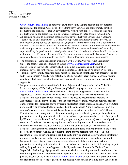Page 5 of 21 EPA Reg. No. 100-1623 Decision No. 565305

> [www.TaviumTankMix.com](http://www.taviumtankmix.com/) or notify the third-party entity that the product did not meet the requirements for posting. Once notified by a third party, you will add appropriately certified products to the list no more than 90 days after you receive such notice. Testing of tank-mix products must be conducted in compliance with procedures as stated forth in Appendix A.

- 7. All test data relating to the impact of tank-mixing any product with Tavium Plus VaporGrip Technology on drift properties of Tavium Plus VaporGrip Technology generated by you or somebody working for you or submitted to Syngenta by a third party, along with a certification indicating whether the study was performed either pursuant to the testing protocols identified on the website or pursuant to other protocols approved by EPA and whether the results of the testing support adding the product to the list of products tested and found not to adversely affect the spray drift properties of Tavium Plus VaporGrip Technology, must be retained by Syngenta. Any and all such records must be submitted to the EPA's Office of Pesticide Programs upon request.
- 8. The prohibition of using products in a tank-mix with Tavium Plus VaporGrip Technology unless the product used is contained on the list [www.TaviumTankMix.com,](http://www.taviumtankmix.com/) and the identification of the website address, shall be included in educational and information materials developed for Syngenta, including the materials identified in Appendix D, Section B.
- 9. Testing of any volatility-reduction agent must be conducted in compliance with procedures as set forth in Appendices A and E. Any potential volatility-reduction agent must demonstrate passing results for both wind tunnel testing set forth in Appendix A and humidome testing set forth in Appendix E.
- 10. Syngenta must maintain a Volatility-Reduction Adjuvant tab (may also be called Volatility Reduction Agent, pH-Buffering Adjuvant, or pH-Buffering Agent) on the website at [www.TaviumTankMix.com.](http://www.taviumtankmix.com/) The website must identify testing protocols, consistent with Appendices A and E. Products that have been tested pursuant to such testing protocols by Syngenta, and found, based upon testing, to meet the passing requirements according to Appendices A and E may be added to the list of approved volatility-reduction adjuvant products on the website tab described above. Syngenta must retain copies of all data and analysis from test performed by, or provided to, Syngenta based on the Appendices A and E protocols. Upon the Agency's request, copies of such test data and analysis must be submitted to EPA's Office of Pesticide Programs, along with certification indicating whether the study was performed either pursuant to the testing protocols identified on the website or pursuant to other protocols approved by EPA and whether the results of the testing support adding the product(s) to the list of products tested and found meet the passing requirements of the testing standards in Appendices A and E.
- 11. If a third party requests the addition of a volatility-reduction adjuvant, at the discretion of Syngenta, the registrant will perform wind tunnel and humidome studies pursuant to the testing protocols in Appendix A and E or request the third-party to perform such studies. Should registrant decline to perform testing, the third-party entity or a testing facility on their behalf must perform a study pursuant to the testing protocol identified on the website and must submit to Syngenta the test data and results, along with certification that the studies were performed pursuant to the testing protocols identified on the website and that the results of the testing support adding the product to the list of approved volatility-reduction adjuvants for Tavium Plus VaporGrip Technology. Syngenta will determine whether the testing and results conform to the conditions prescribed in the protocols and, depending on the test conditions and results, will either post the product on the website at [www.TaviumTankMix.com](http://www.taviumtankmix.com/) or notify the third-party entity that the product did not meet the requirements for posting. Once notified by a third party, you will add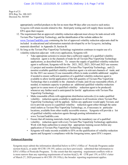Page 6 of 21 EPA Reg. No. 100-1623 Decision No. 565305

> appropriately certified products to the list no more than 90 days after you receive such notice. Syngenta will retain records related to this third-party testing and will supply these records to EPA upon their request.

- 12. The requirement that an approved volatility-reduction adjuvant must always be tank-mixed with Tavium Plus VaporGrip Technology, and the identification of the website address for [www.TaviumTankMix.com](http://www.taviumtankmix.com/) containing the list of approved volatility reduction adjuvants shall be included in educational and information materials developed by or for Syngenta, including materials identified in Appendix D, Section B.
- 13. So long as the Tavium Plus VaporGrip Technology registration continues to require use of a volatility-reduction adjuvant with every application, Syngenta will:
	- Take appropriate action(s) to ensure that a sufficient supply of a qualified volatilityreduction agent is in the channels of trade for all Tavium Plus VaporGrip Technology applications, as described below. To ensure the supply of qualified volatility-reduction agent is sufficient, Syngenta will for the 2021, 2022, 2023, 2024 and 2025 use seasons: (1) project and monitor distribution of Tavium Plus VaporGrip Technology, and (2) monitor available qualified volatility-reduction agent s in relevant channels of trade; and for the 2021 use season (3) use reasonable efforts to make available additional supplies if needed to ensure sufficient quantities of a qualified volatility-reduction agent is available to allow lawful application of the full quantity of Tavium Plus VaporGrip Technology that is available in the channels of trade; and (4) use reasonable efforts, if needed, to maintain capacity to produce an additional qualified volatility-reduction agent (or to cause more of a qualified volatility- reduction agent to be produced) whenever any further need is anticipated for lawful applications with Tavium Plus VaporGrip Technology.
	- Make reasonable efforts with appropriate distribution networks (i) to make qualified volatility- reduction agents available to applicators in all locations where Tavium Plus VaporGrip Technology will be applied, before any applicator would apply Tavium; and (ii) to provide access to a qualified volatility- reduction agent either through the same retail outlets as Tavium Plus VaporGrip Technology, or, if necessary in particular locations, available from other readily accessible sources. Syngenta will provide a list of qualified volatility-reduction agents through posting information o[n](http://www.taviumtankmix.com/) [www.TaviumTankMix.com.](http://www.taviumtankmix.com/)
	- Ensure that all training materials clearly require the mandatory use of a qualified volatility- reduction agent with every Tavium Plus VaporGrip Technology application. Work with State authorities to ensure that appropriate training occurs before any application of Tavium Plus VaporGrip Technology is made.
	- Syngenta will make records available to EPA on the qualification of volatility-reduction agents and Syngenta's compliance with the foregoing terms, upon EPA's request.

### *Enhanced Reporting*

Syngenta must submit the information identified below to EPA's Office of Pesticide Programs under section 6(a)(2), or under 40 CFR 159.195, unless you have previously submitted that information to EPA's Office of Pesticide Programs. To the extent that this reporting requirement conflicts with or is more narrow than any reporting requirements of section  $6(a)(2)$ , 40 CFR part 159, or EPA's letter of March 27, 2020 pursuant to 40 CFR 159.195(c), the broader reporting requirement applies.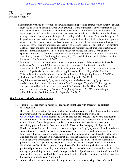Page 7 of 21 EPA Reg. No. 100-1623 Decision No. 565305

- 14. Information received by telephone or in writing regarding potential damage to non-target vegetation from use of dicamba during the 2021-2025 growing seasons regardless of any determination that the incident resulted from misuse (intentional or accidental). Information must be forwarded to EPA regardless of which dicamba product may have been used and/or whether or not the alleged damage resulted from a product being used according to label directions. Data must be organized by product and state to the extent practicable, and must include all available information regarding acreage involved, plant species involved, severity of damage, date and location (coordinates) of incident, known dicamba applications in vicinity of incident, location of application (coordinates), distance from application to incident, temperature and humidity data at time of application, and similar information received. Incident data must be submitted in narrative form and in a spreadsheet format. This information must be submitted with cumulative totals and be submitted annually, by January 15 (beginning by January 15, 2022) and final report with all then available information due September 30, 2025.
- 15. Information received by telephone or in writing regarding reports of dicamba-resistant weeds, and cases of weed control failure and/or suspected resistance. All information must be forwarded to EPA regardless of which dicamba product may have been used and/or whether or not the alleged resistance occurred after an application made according to label directions. This information must be submitted annually by January 15 (beginning January 15, 2022) and final report with all then available information due September 30, 2025.
- 16. Any information received by Syngenta or finding in an analysis conducted by Syngenta that foods/commodities contain dicamba residues from Tavium plus VaporGrip Technology that are not covered by a tolerance or exceed established tolerance levels. This information must be submitted annually by January 15 (beginning January 15, 2022) and final report with all then available information due September 30, 2025.

#### *Hooded Sprayer Qualification Requirement*

- 17. Testing of hooded sprayers must be conducted in compliance with procedures as set forth in Appendix F.
- 18. If Tavium Plus VaporGrip Technology label provides for a reduced buffer when a qualified hooded sprayer is used, Syngenta must maintain a hooded sprayer tab on the website at [www.TaviumTankMix.com](http://www.taviumtankmix.com/) identifying the qualified hooded sprayers. The website must identify a testing protocol, consistent with Appendix F, that is appropriate for determining whether spray drift of dicamba from the proposed hooded sprayer is equivalent to or less than (*i.e.*, not statistically greater than) that from the established baseline hooded sprayer in Appendix F. Hooded sprayers that have been tested pursuant to Appendix F by Syngenta and found, based upon such testing, to reduce the spray drift of dicamba to a level that is equivalent to or less than that from the established baseline hooded sprayer identified in Appendix F may be added to the list of qualified hooded sprayers on the website tab described above. Syngenta must retain copies of all data and analysis from tests performed by, or provided to, Syngenta based on the Appendix F protocol. Upon the Agency's request, copies of such test data and analysis must be submitted to EPA's Office of Pesticide Programs, along with certification indicating whether the study was performed pursuant to the testing protocols identified on the website and whether the results of the testing support adding the tested hooded sprayer to the list of products tested and found to result in spray drift of dicamba to a level that is equivalent to or less than that from the established baseline hooded sprayer identified in Appendix F.
- 19. Additionally, the website must state that any other person or entity seeking to have a hooded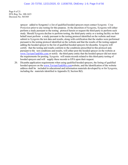Page 8 of 21 EPA Reg. No. 100-1623 Decision No. 565305

> sprayer added to Syngenta's s list of qualified hooded sprayers must contact Syngenta Crop Protection prior to any testing for this purpose. At the discretion of Syngenta, Syngenta will either perform a study pursuant to the testing protocol herein or request the third-party to perform such study. Should Syngenta decline to perform testing, the third-party entity or a testing facility on their behalf must perform a study pursuant to the testing protocol identified on the website and must submit to Syngenta the test data and results, along with certification that the studies were performed pursuant to the testing protocol identified on the website and that the results of the testing support adding the hooded sprayer to the list of qualified hooded sprayers for dicamba. Syngenta will certify that the testing and results conform to the conditions prescribed in this protocol and, pursuant to the test conditions and results, will either post the hooded sprayer on the website at [www.TaviumTankMix.com](http://www.taviumtankmix.com/) or notify the third-party entity that the hooded sprayer did not meet the requirements for posting. Syngenta will retain records related to this third-party testing of hooded sprayers and will supply these records to EPA upon their request.

20. Dicamba application requirements when using qualified hooded sprayers, the listing of qualified hooded sprayers on the [www.TaviumTankMix.comw](http://www.taviumtankmix.com/)ebsite, and the identification of the website address shall be included in educational and information materials developed by or for Syngenta, including the materials identified in Appendix D, Section B(l).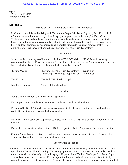Page 9 of 21 EPA Reg. No. 100-1623 Decision No. 565305

### **Appendix A**

Testing of Tank Mix Products for Spray Drift Properties

Products proposed for tank-mixing with Tavium plus VaporGrip Technology may be added to the list of products that will not adversely affect the spray drift properties of Tavium plus VaporGrip Technology contained on the web site if a study is performed under the testing conditions set forth below; the test information is reported as set forth below; and the results are interpreted as set forth below and the interpretation supports adding the tested product to the list of products that will not adversely affect the spray drift properties of Tavium plus VaporGrip Technology:

Testing Conditions

Spray chamber test using conditions described in ASTM E-2798-11; or Wind Tunnel test using conditions described in EPA Final Generic Verification Protocol for Testing Pesticide Application Spray Drift Reduction Technologies for Row and Field Crops (September 2013)

| Testing Media:        | Tavium plus VaporGrip Technology + Tavium plus<br>VaporGrip Technology Proposed Tank Mix Product |
|-----------------------|--------------------------------------------------------------------------------------------------|
| Test Nozzle:          | Tee Jet® TTI 11004 at 63 psi                                                                     |
| Number of Replicates: | 3 for each tested medium                                                                         |

Reporting

Validation information as summarized in Appendix B

Full droplet spectrum to be reported for each replicate of each tested medium

Perform AGDISP (8.26) modeling run for each replicate droplet spectrum for each tested medium (AGDISP input parameters described in Appendix C)

Establish 110 foot spray drift deposition estimates from AGDISP run on each replicate for each tested medium

Establish mean and standard deviation of 110 foot deposition for the 3 replicates of each tested medium

One-tail (upper bound) t-test  $(p=0.1)$  to determine if proposed tank-mix product is above Tavium Plus VaporGrip Technology 110 foot spray drift deposition.

Interpretation of Results

If mean 110 foot deposition for proposed tank-mix product is not statistically greater than mean 110 foot deposition for Tavium Plus VaporGrip Technology, proposed tank-mix product can be added to the list of products that will not adversely affect the spray drift properties of Tavium Plus VaporGrip Technology contained on the web site. If mean 110 foot deposition for proposed tank-mix product is statistically greater than mean 110 foot deposition for Tavium Plus VaporGrip Technology, proposed tank-mix product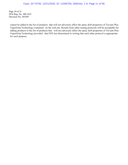Page 10 of 21 EPA Reg. No. 100-1623 Decision No. 565305

cannot be added to the list of products that will not adversely affect the spray drift properties of Tavium Plus VaporGrip Technology contained on the web site. Results from other testing protocols will be acceptable for adding products to the list of products that will not adversely affect the spray drift properties of Tavium Plus VaporGrip Technology provided that EPA has determined in writing that such other protocol is appropriate for such purpose.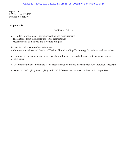### Case: 20-73750, 12/21/2020, ID: 11936705, DktEntry: 1-9, Page 12 of 56

Page 11 of 21 EPA Reg. No. 100-1623 Decision No. 565305

#### **Appendix B**

#### Validation Criteria

a. Detailed information of instrument setting and measurements

- The distance from the nozzle tips to the laser settings

- Measurements of airspeed and flow rate of liquid

b. Detailed information of test substances

- Volume composition and density of Tavium Plus VaporGrip Technology formulation and tank mixes

c. Summary of the entire spray output distribution for each nozzle/tank mixes with statistical analysis of replicates.

d. Graphical outputs of Sympatec Helos laser diffraction particle size analyzer FOR individual spectrum

e. Report of Dv0.1 (SD), Dv0.5 (SD), and DV0.9 (SD) as well as mean % fines of  $\leq 141 \text{pm SD}$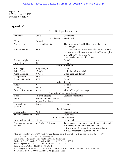Page 12 of 21 EPA Reg. No. 100-1623 Decision No. 565305

### **Appendix C**

## AGDISP Input Parameters

| Parameter<br>Value<br>Comments                                         |                     |                                                                                                                      |  |  |  |
|------------------------------------------------------------------------|---------------------|----------------------------------------------------------------------------------------------------------------------|--|--|--|
| <b>Application Method Section</b>                                      |                     |                                                                                                                      |  |  |  |
| Method                                                                 | Ground              |                                                                                                                      |  |  |  |
| Nozzle Type                                                            | Flat fan (Default)  | The direct use of the DSD overrides the use of                                                                       |  |  |  |
| "nozzle type"                                                          |                     |                                                                                                                      |  |  |  |
| <b>Boom Pressure</b>                                                   | 63 psi              | If nozzles/tank mixes were tested at 63 psi. It has to                                                               |  |  |  |
|                                                                        |                     | be consistent with tank mix as well as Tavium plus                                                                   |  |  |  |
|                                                                        |                     |                                                                                                                      |  |  |  |
|                                                                        |                     | VaporGrip Technology for<br>both TeeJet® and AIXR nozzles                                                            |  |  |  |
| Release Height                                                         | $\overline{3}$ ft   | Default                                                                                                              |  |  |  |
| <b>Spray Lines</b>                                                     | $\overline{20}$     | Default                                                                                                              |  |  |  |
|                                                                        |                     | Meteorology Section                                                                                                  |  |  |  |
| Wind Type                                                              | Single height       | Default                                                                                                              |  |  |  |
| Wind Speed                                                             | 15 mph              | Under bound from label                                                                                               |  |  |  |
| <b>Wind Direction</b>                                                  | $-90$ deg           | Worst-case and default                                                                                               |  |  |  |
| Temperature                                                            | 65F                 | Default                                                                                                              |  |  |  |
| <b>Relative Humidity</b>                                               | 50%                 | Default                                                                                                              |  |  |  |
|                                                                        |                     | <b>Surface Section</b>                                                                                               |  |  |  |
| Angles                                                                 | $\overline{0}$      | Default                                                                                                              |  |  |  |
| Canopy                                                                 | None                | Default                                                                                                              |  |  |  |
| <b>Surface Roughness</b>                                               | $0.12$ ft           | Mean of "crops" cover type                                                                                           |  |  |  |
| <b>Application Technique Section</b>                                   |                     |                                                                                                                      |  |  |  |
| <b>Nozzles</b>                                                         | 54, even spacing    | Standard boom setup                                                                                                  |  |  |  |
| From wind tunnel results,<br><b>DSD</b>                                |                     |                                                                                                                      |  |  |  |
|                                                                        | imported in library |                                                                                                                      |  |  |  |
| Atmospheric                                                            | <b>Strong</b>       | Default                                                                                                              |  |  |  |
| stability                                                              |                     |                                                                                                                      |  |  |  |
| <b>Swath Section</b>                                                   |                     |                                                                                                                      |  |  |  |
| Swath width                                                            | 90 ft               | Standard boom                                                                                                        |  |  |  |
| Swath displacement                                                     | $\overline{0}$ ft   | Worst-case                                                                                                           |  |  |  |
| Spray Material Section                                                 |                     |                                                                                                                      |  |  |  |
| Spray volume rate                                                      | $15$ gal/A          | From label                                                                                                           |  |  |  |
| Volatile/nonvolatile                                                   | M 1768 at 1.72% v/v | To calculate volatile/nonvolatile fraction in the tank                                                               |  |  |  |
| fraction<br>mix for the model input, provide detailed                  |                     |                                                                                                                      |  |  |  |
| information of the tested formulations and tank                        |                     |                                                                                                                      |  |  |  |
| mixes. See sample calculation, below <sup>1</sup>                      |                     |                                                                                                                      |  |  |  |
|                                                                        |                     | <sup>1</sup> The tested mixture was 1.72% (v/v) Tavium. Tavium has a density of 10.2 lb/gal and contains 42.8% (w/v) |  |  |  |
| dicamba DGA salt (2.9 lb acid equivalent/gal).                         |                     |                                                                                                                      |  |  |  |
| For example, a 10-gallon batch would contain the following:            |                     |                                                                                                                      |  |  |  |
| Tavium 1.71% * 10 gal = 0.172 gal ; 0.172 gal * 10.2 lb/gal = 1.753 lb |                     |                                                                                                                      |  |  |  |
| Water 10 gal (1280 fl oz) – 22 fl oz = 1258 fl oz = 82.0157 lb         |                     |                                                                                                                      |  |  |  |
| Total weight $1.753$ lb + 82.016 lb = 83.769 lb                        |                     |                                                                                                                      |  |  |  |

Active ingredient fraction: 1.753 lb \* 42.8% a.i. = 0.75 lb; 0.75 lb/83.769 lb = 0.00896 (dimensionless) Non-volatile fraction: 0.00896/0.428 = 0.021 (dimensionless)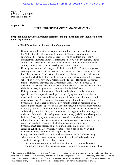Page 13 of 21 EPA Reg. No. 100-1623 Decision No. 565305

#### **Appendix D**

### **HERBICIDE RESISTANCE MANAGEMENT PLAN**

### **Syngenta must develop a herbicide resistance management plan that includes all of the following elements:**

### **A. Field Detection and Remediation Components:**

- 1. Update and implement an education program for growers, as set forth under the "Educational / Informational Component," below, that identifies appropriate best management practices (BMPs), as set forth under the "Best Management Practices (BMPs) Component," below, to delay, contain, and/or control weed resistance. This plan must convey to growers the importance of complying with BMPs and addressing resistance concerns.
- 2. If any grower or user informs you of a lack of herbicide efficacy, then you or your representative must (unless denied access by the grower) evaluate the field for "likely resistance" to Tavium Plus VaporGrip Technology for each specific species for which lack of herbicide efficacy is reported by applying the criteria set forth in Norsworthy, *et al*., "Reducing the Risks of Herbicide Resistance: Best Management Practices and Recommendations," Weed Science 2012 Special Issue: 3[1](#page-13-0)–62 (*hereinafter* "Norsworthy criteria")<sup>1</sup> in each specific state. If denied access, Syngenta must document this denial of access.
- 3. If Syngenta receives information of confirmed resistance to dicamba in a specific state for a specific weed species, then Syngenta must immediately report such confirmation to EPA and applicable state pesticide authority and extension services (e.g., state in which resistance is found). After that time, Syngenta need no longer investigate new reports of lack of herbicide efficacy regarding that specific species in that specific state, but Syngenta must continue to comply with A.2. above in regard to any other weed species in any such state and develop, submit to EPA, and implement a strategy to address the ongoing resistance. In addition, for each grower or user in any jurisdiction who reports a lack of efficacy, Syngenta must continue to make available stewardship information about resistance management to the grower or user throughout their use of this product, regardless of whether resistance is confirmed.
- 4. Syngenta must keep records of all field evaluations and all grower or user reports of lack of efficacy or "likely resistance" for a period of 3 years and make such copies available to EPA upon request.
- 5. In any case described in A.2. above where one or more of the Norsworthy criteria are met for a weed species not already confirmed to be resistant to dicamba in that specific state, Syngenta must:

Provide the grower with specific information and recommendations to control and contain likely resistant weeds, including retreatment and/or other

<span id="page-13-0"></span> $1$  The Norsworthy "likely herbicide resistance" criteria are: (1) failure to control a weed species normally controlled by the herbicide at the dose applied, especially if control is achieved on adjacent weeds; or (2) a spreading patch of uncontrolled plants of a particular weed species; or (3) surviving plants mixed with controlled individuals of the same species. The identification of any of these criteria in the field indicates that "likely herbicide resistance" is present.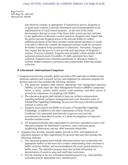Page 14 of 21 EPA Reg. No. 100-1623 Decision No. 565305

> non-chemical controls, as appropriate. If requested by grower, Syngenta or its agent must continue to provide information and recommendations in the implementation of weed control measures. At the time of the initial determination that one or more of the Norsworthy criteria are met, and prior to any application of alternative control practices, Syngenta must request that the grower provide Syngenta access to the relevant field(s) to collect sufficient specimens of the likely resistant weeds (potted specimens or seeds) to be able to effectively evaluate the suspected resistant weeds for resistance for further evaluation in the greenhouse or laboratory. Alternately, Syngenta may request that the grower or user provide such specimens, at Syngenta's expense. If access is granted, Syngenta must promptly collect samples of the suspected resistant weeds if available. If viable specimens have been collected, Syngenta must commence greenhouse or laboratory studies to confirm whether resistance is present as soon as practicable following sample collection.

### **B. Educational / Informational Component:**

- 1. Syngenta must develop, annually update, provide to EPA and make available to state pesticide authority and extension service, and implement an education program for growers and users that includes the following elements:
	- a. The education program shall identify appropriate best management practices (BMPs), set forth under the "Best Management Practices (BMPs) Component," below, to delay, contain, and/or control weed resistance, and shall convey to growers the importance of complying with BMPs;
	- b. The education program shall include at least one written communication regarding herbicide resistance management each year, directed to users of Tavium Plus VaporGrip Technology for use over-the-top on dicamba tolerant soybean or cotton; and
	- c. Syngenta must transmit the BMPs to all users of Tavium Plus VaporGrip Technology. In addition to the other requirements of these Terms and Conditions, this transmittal must describe to growers and users the commitments as described in section A.5 about investigations of suspected dicamba-resistant weeds.
	- d. All Syngenta herbicide sales representatives must have immediate access to the education program for distribution to growers, users, extension agents, neighboring landowners, and any other interested stakeholder.
- 2. Syngenta must develop, annually update, provide to EPA, and implement an education program on label requirements for growers and users that includes the following elements:
	- a. The education program must include information about how to determine the appropriate buffers so that users have a better understanding what constitutes a buffer on his/her field(s), and recommendations for weed control practices in buffer zones. The education program must also include information on determination of sensitive areas and cutoff date restrictions.
	- b. Provide training on the use of broadcast hooded sprayers (e.g., what qualifies as hooded sprayer, appropriate uses, manufactures).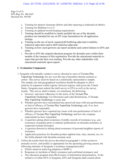Page 15 of 21 EPA Reg. No. 100-1623 Decision No. 565305

- c. Training for sprayer cleanouts (before and after spraying as indicated on labels).
- d. Training for Bulletins Live 2!.
- e. Training on updated record keeping requirements.
- f. Training should be modified to clearly prohibit the use of the dicamba products not intended for use on DT crops formulation for all application timings.
- g. Training on the use of newly required pH buffering adjuvants (volatilityreduction adjuvants) and/or drift reduction adjuvants.
- h. Training on how users/growers can report incidents and control failures to EPA and states.
- i. Provide to EPA the original education program for dicamba users within three months of the issuance of this registration. Provide the educational materials to states that provide their own training. Provide any other stakeholder with educational materials upon request.

### **C. Evaluation Component:**

- 1. Syngenta will annually conduct a survey directed to users of Tavium Plus VaporGrip Technology for use over-the-top of dicamba tolerant soybean or cotton. This survey must be based on a statistically representative sample. The sample size and geographical resolution should be adequate to allow analysis of responses within regions, between regions, and across the United States. Syngenta must submit the draft survey to EPA as well as the survey results. This survey shall evaluate, at a minimum, the following:
	- a. Growers' and users' adherence to the terms of the Tavium Plus VaporGrip Technology Use Directions and Label Restrictions, if Tavium Plus VaporGrip Technology is used, and
	- b. Whether growers have encountered any perceived issue with non-performance or lack of efficacy of Tavium Plus VaporGrip Technology and, if so, how growers have responded.
	- c. Whether growers have reported any issues with non-performance of lack of efficacy of Tavium Plus VaporGrip Technology and how the company representatives have responded.
	- d. A question asking about awareness of public records of resistance (e.g., any awareness of popular press or industry publications on dicamba resistance or suspected resistant biotypes).
	- e. A question directed to asking about awareness of personal/neighbor reports of resistance.
	- f. Application practices for dicamba product applied (rate, time, amount, etc.) to the fields planted with dicamba-resistant seed.
- 2. Utilize the results from the survey described in paragraph 1 of this section to annually review, and modify as appropriate for the upcoming growing season, the following elements of Syngenta's resistance management plan:
	- a. Efforts aimed at achieving adoption of BMP's;
	- b. Responses to incidents of likely resistance and confirmed resistance; and
	- c. The education program and effectiveness of information dissemination. At the initiative of either EPA or Syngenta, EPA and Syngenta shall consult about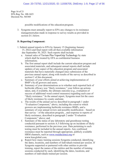Page 16 of 21 EPA Reg. No. 100-1623 Decision No. 565305

possible modifications of the education program.

3. Syngenta must annually report to EPA any changes to its resistance management plan made in response to survey results as provided in section D.1.below.

### **D. Reporting Component:**

- 1. Submit annual reports to EPA by January 15 (beginning January 15, 2022) and final report with all then available information due September 30, 2025. Such reports shall include:
	- a. Annual sales of Tavium Plus VaporGrip Technology by state which shall be treated by EPA as confidential business information;
	- b. The first annual report shall include the current education program and associated materials, and subsequent annual reports shall include updates of any aspect of the education program and associated materials that have materially changed since submission of the previous annual report, along with results of the survey as described in section C of this document;
	- c. Summary of your efforts aimed at achieving implementation of BMP's by all growers and users;
	- d. Summary of your determinations as to whether each reported lack of herbicide efficacy was "likely resistance," your follow-up actions taken, and, if available, the ultimate outcome (e.g., evaluation of success of additional weed control measures) regarding each case of "likely resistance." In the annual report, Syngenta must list the cases of likely resistance by county andstate.
	- e. The results of the annual survey described in paragraph 1 under "Evaluation Component," above, including the extent to which growers are implementing herbicide resistance BMPs, and a summary of your annual review and possible modification – based on that survey – of the education program, , and response to reports of likely resistance, described in paragraph 2 under "Evaluation Component," above; and
	- f. Summary of the status of any laboratory and greenhouse testing conducted pursuant to section A.5 following up on incidents of likely resistance, performed in the previous year. Data pertaining to such testing must be included in the annual reports. Any confirmed resistance must be reported through appropriate, publicly available HRM channels, such as [www.weedscience.org](http://www.weedscience.org/) or www.hracglobal.com.
	- g. Report how many training sessions Syngenta conducted, identifying the dates, locations, and numbers of individuals trained per session. If Syngenta supported or partnered with other entities to provide training, report the names of the entities and the number of training sessions conducted by each, identifying the dates, locations, and numbers of individuals trained per session.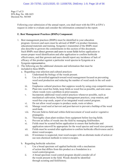Page 17 of 21 EPA Reg. No. 100-1623 Decision No. 565305

> Following your submission of the annual report, you shall meet with the EPA at EPA's request in order to evaluate and consider the information contained in the report.

### **E. Best Management Practices (BMPs) Component:**

- 1. Best management practices (BMPs) must be identified in your education program. Growers and users must be advised of BMP's in product literature, educationalmaterials and training. Syngenta's transmittal of the BMPs must also describe to growers the commitments in this section of this document. Such BMPs must direct growers and users to scout fields before application to ensure proper weed identification and after application to confirm herbicide effectiveness, and that growers and users should report any incidence of lack of efficacy of this product against a particular weed species to Syngenta or a Syngenta representative.
- 2. The following are the additional elements and information that must be included in these BMPs:
	- a. Regarding crop selection and cultural practices:
		- i. Understand the biology of the weeds present.
		- ii. Use a diversified approach toward weed management focused on preventing weed seed production and reducing the number of weed seeds in the soil seedbank.
		- iii. Emphasize cultural practices that suppress weeds by using crop competitiveness.
		- iv. Plant into weed free fields, keep fields as weed free as possible, and note areas where weeds were a problem in prior seasons.
		- v. Incorporate additional weed control practices whenever possible, such as mechanical cultivation, biological management practices, crop rotation, and weed-free crop seeds, aspart of an integrated weed control program.
		- vi. Do not allow weed escapes to produce seeds, roots or tubers.
		- vii. Manage weed seed at harvest and post-harvest to prevent a buildup of the weed seed-bank.
		- viii. Prevent field-to-field and within-field movement of weed seed or vegetative propagules.
		- ix. Thoroughly clean plant residues from equipment before leaving fields.
		- x. Prevent an influx of weeds into the field by managing field borders.
		- xi. Fields must be scouted before application to ensure that herbicides and application rateswill be appropriate for the weed species and weed sizes present.
		- xii. Fields must be scouted after application to confirm herbicide effectiveness and to detect weed escapes.
		- xiii. If resistance is suspected, treat weed escapes with an alternate mode of action or use non-chemical methods to remove escapes.
	- b. Regarding herbicide selection:
		- i. Use a broad spectrum soil applied herbicide with a mechanism of action that differs from this product as a foundation in a weed control program.
		- ii. A broad spectrum weed control program should consider all of the weeds present in the field. Weeds should be identified through scouting and field history.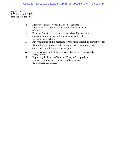### Case: 20-73750, 12/21/2020, ID: 11936705, DktEntry: 1-9, Page 19 of 56

Page 18 of 21 EPA Reg. No. 100-1623 Decision No. 565305

| iii. | Difficult to control weeds may require sequential      |
|------|--------------------------------------------------------|
|      | applications of herbicides with alternative mechanisms |
|      | of action.                                             |

- iv. Fields with difficult to control weeds should be rotated to crops that allow the use of herbicides with alternative mechanisms of action.
- v. Apply full rates of this herbicide for the most difficult to control weed in the field. Applications should be made when weeds are at the correct size to minimize weed escapes.
- vi. Use of herbicides with differing modes of action is recommended to manage resistance.
- vii. Report any incidence of lack of efficacy of this product against a particular weed species to Syngenta or a Syngenta representative.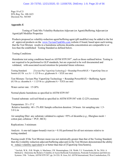Page 19 of 21 EPA Reg. No. 100-1623 Decision No. 565305

### **Appendix E**

Testing of Tank Mix Volatility-Reduction Adjuvant (or Agent)/Buffering Adjuvant (or Agent)/pH Modifier Properties

Products proposed as volatility-reduction agent/buffering agent (pH modifier) may be added to the list of approved products on the [www.TaviumTankMix.com](http://www.taviumtankmix.com/) website if found, based upon such testing, that the Test Mixture results in a humidome airborne dicamba concentration are comparable to or less than the established Testing Standard as defined below.

Testing Conditions

Humidome test using conditions based on ASTM STP1587\* , such as those outlined below. Testing is not required to be performed to GLP standards, but are expected to be well documented and validated, with associated record retention for potential future reference.

Testing Standard: [Tavium Plus VaporGrip Technology] + Roundup PowerMAX + VaporGrip Xtra or Sentris (0.5 lb a.e./ $A + 1.125$  lb a.e. glyphosate/ $A + XXX$  use rate)

Test Mixture: Tavium Plus VaporGrip Technology + Roundup PowerMAX + Buffering Agent (0.5 lb a.e. dicamba/ $A + 1.125$  lb a.e. glyphosate/ $A + XXX$  use rate)

Water carrier rate: 15 GPA

Normal plastic humidome as specified in ASTM STP1587

Treated substrate: soil/soil blend as specified in ASTM STP1587 with 12-22% moisture

Temperature:  $35 \pm 5^{\circ}$  C Relative humidity:  $40 \pm 5\%$  RH Sample collection duration: 24 hours Air sampling rate: 1.5-3.0 L/m

Air sampling filter: any substrate validated to capture >95% of dicamba (*e.g.*, fiberglass mesh + cotton pad, cellulose + PUF, MCE)

Replications: 3 minimum

Analysis: A one-tail (upper-bound) t-test ( $\alpha$  = 0.10) performed for all test mixtures relative to testing standard.

Passing result: If the Test Mixture mean was not statistically greater than that of the Testing Standard, then the [volatility reduction adjuvant/buffering adjuvant] in the Test Mixture demonstrated the ability to reduce volatility equivalent to or better than that of [VaporGrip Xtra/Sentris].

<sup>\*</sup> Gavlick, W.K., D.R. Wright, A. MacInnes, J.W. Hemminghaus, J.K. Webb, V.I. Yermolenka, W. Su. 2016. A Method to Determine the Relative Volatility of Auxin Herbicide Formulations, Pesticide Formulation and Delivery Systems: 35th Volume, ASTM STP1587. pp. 24-32G. R. Goss, Ed. ASTM International, West Conshohocken, PA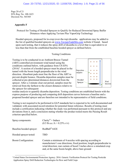Page 20 of 21 EPA Reg. No. 100-1623 Decision No. 565305

### **Appendix F**

Protocol for Testing of Hooded Sprayers to Qualify for Reduced Downwind Spray Buffer Distances when Applying Tavium Plus VaporGrip Technology

Hooded sprayers, proposed for in-crop (over-the-top) dicamba applications may be added to the list of qualified hooded sprayers on [www.TaviumTankMix.com](http://www.taviumtankmix.com/) website if found, based upon such testing, that it reduces the spray drift of dicamba to a level that is equivalent to or less than that from the established baseline hooded sprayer as defined below.

Testing Conditions

Testing is to be conducted in an Ambient Breeze Tunnel (ABT) controlled environment wind tunnel using the conditions outlined below, with guidance from US EPA  $(2016)^{1}$ . A section of a hooded sprayer must be placed in the tunnel with the boom length perpendicular to the wind direction. Absorbent pads must line the floor of the ABT to prevent droplet bounce. Dicamba deposition samples must be collected at pre-determined distances downwind from the sprayer. After a 2-minute clear-out period, samples must be retrieved from the farthest to the closest distances relative to the sprayer for subsequent



residue analysis to quantify dicamba deposition. Testing conditions are established herein with the express purpose of producing and comparing drift deposition curves between a baseline and a proposed hooded sprayer and are therefore not intended to be representative of field conditions.

Testing is not required to be performed to GLP standards but is expected to be well-documented and validated, with associated record retention for potential future reference. Results of testing must include a certification indicating whether the study was performed pursuant to this protocol and any deviations from it, and a conclusion stating whether the product tested meets the Passing Result criterion specified below.

| Spray components:        | Clarity <sup>®</sup> + Induce<br>$(0.5$ lb a.e./A + 0.25% v/v)                                                                                                                                                                                                |
|--------------------------|---------------------------------------------------------------------------------------------------------------------------------------------------------------------------------------------------------------------------------------------------------------|
| Baseline hooded sprayer: | RedBall <sup>®</sup> 642E                                                                                                                                                                                                                                     |
| Hooded sprayer tested:   | TBD                                                                                                                                                                                                                                                           |
| Boom Configuration:      | Contain a minimum of 4 nozzles with spacing according to<br>manufacturer's use directions; fixed position; length perpendicular to<br>wind direction; rear curtain of hood 3 inches above a simulated crop<br>and, at the same boom height, above bare ground |

<sup>&</sup>lt;sup>1</sup> United States Environmental Protection Agency. 2016. Generic Verification Protocol for Testing Pesticide Application Spray Drift Reduction Technologies for Row and Field Crops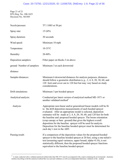Page 21 of 21 EPA Reg. No. 100-1623 Decision No. 565305

| Nozzle/pressure:           | TT 11003 at 50 psi                                                                                                                                                                                                                                                                                                                                                                                                                                                                                                                                                                    |
|----------------------------|---------------------------------------------------------------------------------------------------------------------------------------------------------------------------------------------------------------------------------------------------------------------------------------------------------------------------------------------------------------------------------------------------------------------------------------------------------------------------------------------------------------------------------------------------------------------------------------|
| Spray rate:                | 15 GPA                                                                                                                                                                                                                                                                                                                                                                                                                                                                                                                                                                                |
| Spray duration:            | 30 seconds                                                                                                                                                                                                                                                                                                                                                                                                                                                                                                                                                                            |
| Wind speed:                | Minimum 10 mph                                                                                                                                                                                                                                                                                                                                                                                                                                                                                                                                                                        |
| Temperature:               | $10-35$ °C                                                                                                                                                                                                                                                                                                                                                                                                                                                                                                                                                                            |
| Humidity:                  | 20-80%                                                                                                                                                                                                                                                                                                                                                                                                                                                                                                                                                                                |
| Deposition samplers:       | Filter paper on blocks 3-in above                                                                                                                                                                                                                                                                                                                                                                                                                                                                                                                                                     |
| ground Number of samplers: | Minimum 3 at each downwind                                                                                                                                                                                                                                                                                                                                                                                                                                                                                                                                                            |
| distance                   |                                                                                                                                                                                                                                                                                                                                                                                                                                                                                                                                                                                       |
| Sampler distances:         | Minimum 6 downwind distances for analysis purposes; distances<br>should follow a geometric distribution (e.g., 2, 4, 8, 20, 30, 60, and<br>120 feet) and cover out to 120 feet but may vary based on study<br>considerations.                                                                                                                                                                                                                                                                                                                                                         |
| Drift simulations:         | Minimum 3 per hooded sprayer                                                                                                                                                                                                                                                                                                                                                                                                                                                                                                                                                          |
| Analytical analysis:       | Conducted per latest version of analytical method ME-1871 or<br>another validated method <sup>1</sup>                                                                                                                                                                                                                                                                                                                                                                                                                                                                                 |
| Analysis:                  | Appropriate non-linear and/or generalized linear models will be fit<br>to the drift deposition measurements of each hooded sprayer<br>evaluated. After an appropriate model is selected, deposition<br>estimates will be made at $2, 4, 8, 20, 30, 60$ , and 120 feet for both<br>the baseline and proposed hooded sprayer. The boom orientation<br>(crop canopy or bare ground) that gives the highest overall<br>deposition for the baseline sprayer will be used for analysis.<br>Deposition for the baseline hooded sprayer must be determined for<br>each day's test in the ABT. |
| Passing result:            | If a comparison of the deposition values for the proposed hooded<br>sprayer to the baseline hooded sprayer at 20 feet, using a one-tailed t-<br>test (assuming equal variances, upper bound, alpha=0.10), is not<br>statistically different, then the proposed hooded sprayer functions<br>equivalent to the baseline hooded sprayer.                                                                                                                                                                                                                                                 |

<span id="page-21-0"></span> $<sup>1</sup>$  A study conducted with a validated analytical method other than ME-1871 must be accompanied with a report containing the environmental chemistry</sup> method, describing in full the analytical method that was used and validated, as well as an independent laboratory validation of the method.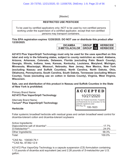[Master]

### **RESTRICTED USE PESTICIDE**

To be used by certified applicators only; NOT to be used by non-certified persons working under the supervision of a certified applicator, except that non-certified persons may transport containers.

**This EPA registration expires 12/20/2025. DO NOT use or distribute this product after 12/20/2025.**

| <b>DICAMBA</b>        | <b>GROUP</b> |            | <b>HERBICIDE</b> |
|-----------------------|--------------|------------|------------------|
| S-METOLACHLOR   GROUP |              | <b>415</b> | <b>HERBICIDE</b> |

**A21472 Plus VaporGrip® Technology must only be used for the uses specified on this label and only in the following states, subject to county restriction as noted: Alabama, Arizona, Arkansas, Colorado, Delaware, Florida (excluding Palm Beach County), Georgia, Illinois, Indiana, Iowa, Kansas, Kentucky, Louisiana, Maryland, Michigan, Minnesota, Mississippi, Missouri, Nebraska, New Jersey, New Mexico, New York (excluding Nassau and Suffolk Counties), North Carolina, North Dakota, Ohio, Oklahoma, Pennsylvania, South Carolina, South Dakota, Tennessee (excluding Wilson County), Texas (excluding use on cotton in Gaines County), Virginia, West Virginia, Wisconsin.**

**Sale, use and distribution of this product in Nassau and Suffolk Counties in the State of New York is prohibited.**

Primary Brand Name: **A21472 Plus VaporGrip® Technology**

Alternate Brand Name: **Tavium® Plus VaporGrip® Technology**



### **Herbicide**

Foliar systemic broadleaf herbicide with residual grass and certain broadleaf weed control for dicamba-tolerant cotton and dicamba-tolerant soybeans

Active Ingredients:

| Other Ingredients: | 58.3%  |
|--------------------|--------|
| Total:             | 100.0% |

\*CAS No. 104040-79-1 \*\*CAS No. 87392-12-9

A21472 Plus VaporGrip Technology is a capsule suspension (CS) formulation containing 1.12 pounds of dicamba acid equivalent (ae) and 2.26 pounds of *S*-metolachlor per U.S. gallon.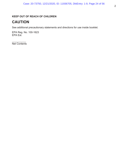# **KEEP OUT OF REACH OF CHILDREN**

# **CAUTION**

See additional precautionary statements and directions for use inside booklet.

EPA Reg. No. 100-1623 EPA Est.

 $\frac{1}{2}$ Net Contents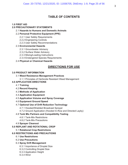# **TABLE OF CONTENTS**

### **1.0 FIRST AID**

### **2.0 PRECAUTIONARY STATEMENTS**

- 2.1 **Hazards to Humans and Domestic Animals**
- 2.2 **Personal Protective Equipment (PPE)**
	- 2.2.1 User Safety Requirements
	- 2.2.2 Engineering Controls
	- 2.2.3 User Safety Recommendations

### 2.3 **Environmental Hazards**

- 2.3.1 Groundwater Advisory
- 2.3.2 Surface Water Advisory
- 2.3.3 Mixing/Loading Instructions
- 2.3.4 Endangered Species Requirements

#### 2.4 **Physical or Chemical Hazards**

# **DIRECTIONS FOR USE**

### **3.0 PRODUCT INFORMATION**

- 3.1 **Weed Resistance Management Practices**
	- 3.1.1 Principles of Herbicide Resistant Weed Management
- **4.0 APPLICATION DIRECTIONS**
	- 4.1 **Training**
	- 4.2 **Record Keeping**
	- 4.3 **Methods of Application**
	- 4.4 **Application Equipment**
	- 4.5 **Application Volume and Spray Coverage**
	- 4.6 **Equipment Ground Speed**

### 4.7 **Optional Use of Drift Reduction Technology**

- 4.7.1 Hooded/Shielded Broadcast Sprayer
- 4.7.2 Ground Application (Hooded In-Row and Directed Layby)

### 4.8 **Tank Mix Partners and Compatibility Testing**

- 4.8.1 Tank-Mix Restrictions
- 4.8.2 Tank-Mix Precautions
- 4.9 **Sprayer Cleanout**

### **5.0 REPLANT AND ROTATIONAL CROP**

5.1 **Rotational Crop Restrictions**

### **6.0 RESTRICTIONS AND PRECAUTIONS**

- 6.1 **Use Restrictions**
- 6.2 **Use Precautions**

#### 6.3 **Spray Drift Management**

- 6.3.1 Importance of Droplet Size
- 6.3.2 Controlling Droplet Size
- 6.3.3 Application Height
- 6.3.4 Wind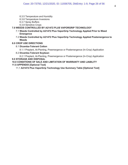- 6.3.5 Temperature and Humidity
- 6.3.6 Temperature Inversions
- 6.3.7 Spray Buffers
- 6.3.8 Sensitive Crops

### **7.0 WEEDS CONTROLLED BY A21472 PLUS VAPORGRIP TECHNOLOGY**

- 7.1 **Weeds Controlled by A21472 Plus VaporGrip Technology Applied Prior to Weed Emergence**
- 7.2 **Weeds Controlled by A21472 Plus VaporGrip Technology Applied Postemergence to Weeds**

### **8.0 CROP USE DIRECTIONS**

8.1 **Dicamba-Tolerant Cotton**

8.1.1 Preplant, At-Planting, Preemergence or Postemergence (In-Crop) Application

8.2 **Dicamba-Tolerant Soybean**

8.2.1 Preplant, At-Planting, Preemergence or Postemergence (In-Crop) Application **9.0 STORAGE AND DISPOSAL**

### **10.0 CONDITIONS OF SALE AND LIMITATION OF WARRANTY AND LIABILITY 11.0 APPENDIX [Optional Text]**

11.1 **A21472 Plus VaporGrip Technology Use Summary Table [Optional Text]**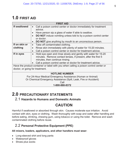# **1.0 FIRST AID**

| <b>FIRST AID</b>                                                          |                                                                                      |  |  |  |
|---------------------------------------------------------------------------|--------------------------------------------------------------------------------------|--|--|--|
| If swallowed                                                              | Call a poison control center or doctor immediately for treatment<br>$\bullet$        |  |  |  |
|                                                                           | advice.                                                                              |  |  |  |
|                                                                           | Have person sip a glass of water if able to swallow.                                 |  |  |  |
|                                                                           | <b>DO NOT</b> induce vomiting unless told to by a poison control center              |  |  |  |
|                                                                           | or doctor.                                                                           |  |  |  |
|                                                                           | <b>DO NOT</b> give anything by mouth to an unconscious person.<br>$\bullet$          |  |  |  |
| If on skin or                                                             | Take off contaminated clothing.<br>$\bullet$                                         |  |  |  |
| clothing                                                                  | Rinse skin immediately with plenty of water for 15-20 minutes.<br>$\bullet$          |  |  |  |
|                                                                           | Call a poison control center or doctor for treatment advice.                         |  |  |  |
| If in eyes                                                                | Hold eye open and rinse slowly and gently with water for 15-20<br>$\bullet$          |  |  |  |
|                                                                           | minutes. Remove contact lenses, if present, after the first 5                        |  |  |  |
| minutes, then continue rinsing.                                           |                                                                                      |  |  |  |
| Call a poison control center or doctor for treatment advice.<br>$\bullet$ |                                                                                      |  |  |  |
|                                                                           | Have the product container or label with you when calling a poison control center or |  |  |  |
| doctor, or going for treatment.                                           |                                                                                      |  |  |  |
| <b>HOTLINE NUMBER</b>                                                     |                                                                                      |  |  |  |
| For 24-Hour Medical Emergency Assistance (Human or Animal)                |                                                                                      |  |  |  |
| Or Chemical Emergency Assistance (Spill, Leak, Fire or Accident)          |                                                                                      |  |  |  |
| Call                                                                      |                                                                                      |  |  |  |
| 1-800-888-8372                                                            |                                                                                      |  |  |  |
|                                                                           |                                                                                      |  |  |  |

# **2.0 PRECAUTIONARY STATEMENTS**

# 2.1 **Hazards to Humans and Domestic Animals**

# **CAUTION**

Harmful if swallowed or absorbed through skin. Causes moderate eye irritation. Avoid contact with skin, eyes or clothing. Wash thoroughly with soap and water after handling and before eating, drinking, chewing gum, using tobacco or using the toilet. Remove and wash contaminated clothing before reuse.

# 2.2 **Personal Protective Equipment (PPE)**

# **All mixers, loaders, applicators, and other handlers must wear:**

- Long-sleeved shirt and long pants
- Waterproof gloves
- Shoes plus socks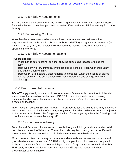# 2.2.1 User Safety Requirements

Follow the manufacturer's instructions for cleaning/maintaining PPE. If no such instructions for washables exist, use detergent and hot water. Keep and wash PPE separately from other laundry.

# 2.2.2 Engineering Controls

When handlers use closed systems or enclosed cabs in a manner that meets the requirements listed in the Worker Protection Standard (WPS) for agricultural pesticides (40 CFR 170.240(d)(4-6)), the handler PPE requirements may be reduced or modified as specified in the WPS.

# 2.2.3 User Safety Recommendations

### **Users should:**

- Wash hands before eating, drinking, chewing gum, using tobacco or using the toilet.
- Remove clothing/PPE immediately if pesticide gets inside. Then wash thoroughly and put on clean clothing.
- Remove PPE immediately after handling this product. Wash the outside of gloves before removing. As soon as possible, wash thoroughly and change into clean clothing.

# 2.3 **Environmental Hazards**

**DO NOT** apply directly to water, or to areas where surface water is present, or to intertidal areas below the mean high water mark. **DO NOT** contaminate water when cleaning equipment or disposing of equipment washwater or rinsate. Apply this product only as directed on the label.

NON-TARGET ORGANISM ADVISORY: This product is toxic to plants and may adversely impact the forage and habitat of non-target organisms, including pollinators, in areas adjacent to the treated site. Protect the forage and habitat of non-target organisms by following label directions intended to minimize spray drift.

# 2.3.1 Groundwater Advisory

Dicamba and *S*-metolachlor are known to leach through soil into groundwater under certain conditions as a result of label use. These chemicals may leach into groundwater if used in areas where soils are permeable, particularly where the water table is shallow.

Groundwater contamination may occur in areas where soils are permeable or coarse and groundwater is near the surface. **DO NOT** apply to impervious substrates such as paved or highly compacted surfaces in areas with high potential for groundwater contamination. **DO NOT** apply to soils classified as sand with less than 3% organic matter and where groundwater depth is shallow.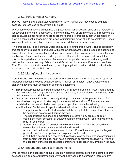# 2.3.2 Surface Water Advisory

**DO NOT** apply if soil is saturated with water or when rainfall that may exceed soil field capacity is forecasted to occur within 48 hours.

Under some conditions, dicamba has the potential for runoff several days and s-metolachlor for several months after application. Poorly draining, wet, or erodible soils with readily visible slopes toward adjacent sensitive areas are more prone to produce runoff. When used on erodible soils, best management practices for minimizing runoff should be employed. Consult your local Soil Conservation Service for recommendations in your use area.

This product may impact surface water quality due to runoff of rain water. This is especially true for poorly draining soils and soils with shallow groundwater. This product is classified as having high potential for reaching surface water via runoff for several weeks or months after application. A level, well-maintained vegetative buffer strip between areas to which this product is applied and surface water features such as ponds, streams, and springs will reduce the potential loading of dicamba and S-metolachlor from runoff water and sediment. Runoff of this product will be reduced by avoiding applications when rainfall or irrigation is expected to occur within 48 hours.

# 2.3.3 Mixing/Loading Instructions

Care must be taken when using this product to prevent back-siphoning into wells, spills, or improper disposal of excess pesticide, spray mixtures, or rinsates. Check-valves or antisiphoning devices must be used on all mixing equipment.

- This product must not be mixed or loaded within 50 ft of perennial or intermittent streams and rivers, natural or impounded lakes and reservoirs, wells, including abandoned wells, drainage wells, and sink holes.
- Operations that involve mixing, loading, rinsing, or washing of this product into or from pesticide handling, or application equipment or containers within 50 ft of any well are prohibited, unless conducted on an impervious pad that meets the following specifications. Containment capacities described below must be maintained at all times.
	- $\circ$  The pad must be constructed to withstand the weight of the heaviest load that may be positioned on or moved across the pad.
	- o The pad must be designed and maintained to contain any product spills or equipment leaks, container or equipment rinse or washwater, and rain water that may fall on the pad.
	- $\circ$  Surface water must not be allowed to either flow over or from the pad, which means the pad must be self-contained and sloped.
	- $\circ$  An unroofed pad must contain at a minimum 110% of the capacity of the largest pesticide container or application equipment on the pad.
	- $\circ$  A pad that is covered by a roof of sufficient size to completely exclude precipitation from contact with the pad, must have a minimum containment capacity of 100% of the capacity of the largest pesticide container or application equipment on the pad.

# 2.3.4 Endangered Species Requirements

Prior to making an application of this product on dicamba-tolerant cotton or dicamba-tolerant soybeans, an applicator must visit http://www.epa.gov/espp/ to determine if there are any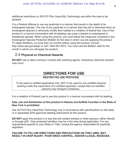additional restrictions on A21472 Plus VaporGrip Technology use within the area to be sprayed.

It is a Federal offense to use any pesticide in a manner that results in the death of an endangered species. The use of any pesticide in a manner that may kill or otherwise harm an endangered species or adversely modify their habitat is a violation of federal law. Use of this product in a manner inconsistent with its labeling may pose a hazard to endangered or threatened species. When using this product, you must follow the measures contained in the Endangered Species Protection Bulletin for the area in which you are applying the product. To obtain Bulletins, no more than six months before using this product, consult http://www.epa.gov/espp/ or call 1-844-447-3813. You must use the Bulletin valid for the month in which you will apply the product.

# 2.4 **Physical or Chemical Hazards**

**DO NOT** use or allow coming in contact with oxidizing agents. Hazardous chemical reaction may occur.

# **DIRECTIONS FOR USE**

# **RESTRICTED USE PESTICIDE**

To be used by certified applicators only; NOT to be used by non-certified persons working under the supervision of a certified applicator, except that non-certified persons may transport containers.

It is a violation of Federal Law to use this product in a manner inconsistent with its labeling.

### **Sale, use and distribution of this product in Nassau and Suffolk Counties in the State of New York is prohibited.**

Use A21472 Plus VaporGrip Technology only in accordance with specifications on this label, or in separately EPA-approved labeling instructions for this product.

**DO NOT** apply this product in a way that will contact workers or other persons, either directly or through drift. Only protected handlers may be in the area during application. For any requirements specific to your State or Tribe, consult the agency responsible for pesticide regulation.

### **FAILURE TO FOLLOW DIRECTIONS AND PRECAUTIONS ON THIS LABEL MAY RESULT IN CROP INJURY, POOR WEED CONTROL, AND/OR ILLEGAL RESIDUES.**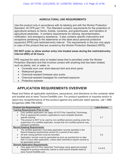### **AGRICULTURAL USE REQUIREMENTS**

Use this product only in accordance with its labeling and with the Worker Protection Standard, 40 CFR part 170. This Standard contains requirements for the protection of agricultural workers on farms, forests, nurseries, and greenhouses, and handlers of agricultural pesticides. It contains requirements for training, decontamination, notification, and emergency assistance. It also contains specific instructions and exceptions pertaining to the statements on this label about personal protective equipment (PPE) and restricted-entry interval. The requirements in this box only apply to uses of this product that are covered by the Worker Protection Standard (WPS).

### **DO NOT enter or allow worker entry into treated areas during the restricted-entry interval (REI) of 24 hours.**

PPE required for early entry to treated areas that is permitted under the Worker Protection Standard and that involves contact with anything that has been treated, such as plants, soil, or water, is:

- Coveralls worn over short-sleeved shirt and short pants
- Waterproof gloves
- Chemical-resistant footwear plus socks
- Chemical-resistant headgear for overhead exposure
- Protective eyewear

# **APPLICATION REQUIREMENTS OVERVIEW**

Read and follow all applicable restrictions, precautions, and directions on the container label and booklet and at www.TaviumTankMix.com. For product questions or inquiries and/or to report any nonperformance of this product against any particular weed species, call 1-866- Syngent(a) (866-796-4368).

| <b>Product Use Requirements</b>                                                                                                                                                      | <b>Label Section</b> |
|--------------------------------------------------------------------------------------------------------------------------------------------------------------------------------------|----------------------|
| <b>Training Requirements Prior to Use:</b>                                                                                                                                           |                      |
| Only certified applicators can apply A21472 Plus VaporGrip Technology.                                                                                                               |                      |
| Prior to applying this product, applicator(s) must complete dicamba-<br>specific training.                                                                                           | 4.1                  |
| This product is NOT to be used by non-certified persons working under the<br>supervision of a certified applicator, except that non-certified persons may                            |                      |
| transport containers.                                                                                                                                                                |                      |
| <b>Record Keeping Requirements:</b>                                                                                                                                                  |                      |
| The certified applicator must keep application records specified in the<br>Record Keeping requirements section for a period of two years.                                            |                      |
| All tank mixing partners must be recorded.<br>$\bullet$                                                                                                                              | 4.2                  |
| Application records must be generated as soon as practical but no later<br>than 72 hours after application, unless state restrictions require records to                             |                      |
| be generated sooner.                                                                                                                                                                 |                      |
| <b>General Application Requirements:</b>                                                                                                                                             |                      |
| Only apply A21472 Plus VaporGrip Technology using approved nozzles<br>$\bullet$<br>designed to produce extremely coarse to ultra-coarse droplets listed at<br>www.TaviumTankMix.com. | $4.4 - 4.8$          |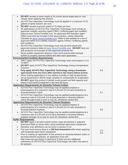| $\bullet$ | DO NOT exceed a boom height of 24 inches above target pest or crop                                                                       |     |
|-----------|------------------------------------------------------------------------------------------------------------------------------------------|-----|
|           | canopy when applying this product.                                                                                                       |     |
| $\bullet$ | A21472 Plus VaporGrip Technology must be applied in a minimum of 15<br>gallons of spray solution per acre.                               |     |
| $\bullet$ | DO NOT exceed a ground speed of 15 miles per hour.                                                                                       |     |
| $\bullet$ | All applications of A21472 Plus VaporGrip Technology must include an                                                                     |     |
|           | approved volatility reduction agent (VRA) / buffering agent (pH modifier)                                                                |     |
|           | listed at www.TaviumTankMix.com. An approved drift reduction agent                                                                       |     |
|           | (DRA) must also be included in the spray solution, unless otherwise                                                                      |     |
|           | indicated on www.TaviumTankMix.com. Refer to the website for a list of                                                                   |     |
|           | approved DRAs and volatility reduction agents (VRAs) / buffering agents                                                                  |     |
|           | (pH modifiers).                                                                                                                          |     |
|           | A21472 Plus VaporGrip Technology must only be tank-mixed with                                                                            |     |
|           | approved products listed at www.TaviumTankMix.com. DO NOT tank mix                                                                       |     |
|           | with products not included on this approved products list.                                                                               |     |
|           | Spray system equipment cleanout: User must ensure entire sprayer                                                                         |     |
|           | system is properly cleaned before and after each application.                                                                            |     |
|           | <b>Environmental Condition Requirements:</b>                                                                                             |     |
|           | ONLY apply A21472 Plus VaporGrip Technology when wind speed is 3 to<br>10 MPH.                                                           |     |
| $\bullet$ | <b>DO NOT</b> apply A21472 Plus VaporGrip Technology during a temperature                                                                |     |
|           | inversion.                                                                                                                               |     |
| $\bullet$ | Only apply A21472 Plus VaporGrip Technology using a broadcast                                                                            | 6.0 |
|           | open-boom from one hour after sunrise to two hours before sunset.                                                                        |     |
| $\bullet$ | When making applications in low relative humidity or high temperatures,                                                                  |     |
|           | set up equipment to deliver larger droplets to compensate for evaporation.                                                               |     |
| $\bullet$ | DO NOT apply this product if rainfall could exceed soil field capacity and                                                               |     |
|           | result in soil runoff is expected in the next 48 hours.                                                                                  |     |
|           | <b>Application Requirements for Dicamba Tolerant Cotton:</b>                                                                             |     |
| $\bullet$ | A21472 Plus VaporGrip Technology may be applied preplant or                                                                              |     |
|           | preemergence at a maximum rate of 3.53 pt/A (0.5 lb ae/a dicamba) to                                                                     |     |
|           | dicamba-tolerant cotton                                                                                                                  | 8.1 |
| $\bullet$ | A21472 Plus VaporGrip Technology may be applied postemergence at a                                                                       |     |
|           | maximum rate of 3.53 pt/A (0.5 lb ae/a dicamba) in dicamba-tolerant<br>cotton through 6-leaf or prior to July 30, whichever comes first. |     |
|           | <b>Application Requirements for Dicamba Tolerant Soybean:</b>                                                                            |     |
| $\bullet$ | A21472 Plus VaporGrip Technology may be applied preplant or                                                                              |     |
|           | preemergence at a maximum rate of 3.53 pt/A (0.5 lb ae/a dicamba) to                                                                     |     |
|           | dicamba-tolerant soybean.                                                                                                                | 8.2 |
|           | A21472 Plus VaporGrip Technology may be applied postemergence at a                                                                       |     |
|           | maximum rate of 3.53 pt/A (0.5 lb ae/a dicamba) in dicamba-tolerant                                                                      |     |
|           | soybean through V4 or prior to June 30, whichever comes first.                                                                           |     |
|           | <b>Buffer Requirements:</b>                                                                                                              |     |
|           | DO NOT apply if sensitive plants and/or crops are planted in adjacent                                                                    |     |
|           | downwind fields or areas when using broadcast open-boom equipment.                                                                       |     |
|           | Sensitive crop definitions can be found in section 6.3.8.                                                                                |     |
|           | The user must ensure there is a 240 foot downwind buffer when applying                                                                   | 2.3 |
|           | with broadcast open-boom equipment.<br>Prior to making an application of this product on dicamba-tolerant cotton or                      | 6.0 |
|           | dicamba-tolerant soybeans, an applicator must visit                                                                                      |     |
|           | http://www.epa.gov/espp/ to determine if there are any additional                                                                        |     |
|           | restrictions on A21472 Plus VaporGrip Technology use within the area to                                                                  |     |
|           | be sprayed.                                                                                                                              |     |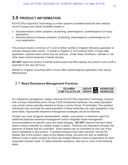# **3.0 PRODUCT INFORMATION**

A21472 Plus VaporGrip Technology is a foliar systemic broadleaf herbicide with residual control of grass and certain broadleaf weeds in:

- dicamba-tolerant cotton (preplant, at-planting, preemergence, postemergence (In-crop) application)
- dicamba-tolerant soybeans (preplant, at-planting, preemergence, postemergence (Incrop) application)

This product needs a minimum of  $\frac{1}{2}$  inch of either rainfall or irrigation following application to activate residual weed control. If rainfall or irrigation is not received within 10 days after application, residual weed control may be reduced. Under these conditions, cultivate or use other weed control measures if weeds develop.

**DO NOT** apply this product if rainfall could exceed soil field capacity and result in soil runoff is expected in the next 48 hours.

Rainfall or irrigation occurring within 4 hours after postemergence application may reduce effectiveness.

# 3.1 **Weed Resistance Management Practices**

| <b>DICAMBA</b>        | <b>GROUP</b> |             | <b>HERBICIDE</b> |
|-----------------------|--------------|-------------|------------------|
| S-METOLACHLOR   GROUP |              | <b>15</b> I | <b>HERBICIDE</b> |

For resistance management, please note that A21472 Plus VaporGrip Technology contains both a Group 4/(dicamba) and a Group 15/(*S*-metolachlor) herbicide. Any weed population may contain plants naturally resistant to Group 4 and/or Group 15 herbicides. The resistant individuals may dominate the weed population if these herbicides are used repeatedly in the same fields. Appropriate resistance-management strategies should be followed.

Contact your local Syngenta representative, retailer, crop advisor or extension agent for additional pesticide resistance-management and/or integrated weed-management recommendations for specific crops and weed biotypes. **DO NOT** assume that each listed weed is being controlled by multiple modes of action. Premixes are intended to broaden the spectrum of weeds that are controlled. Some weeds may be controlled by only one of the active ingredients in this product. If resistant biotypes have been reported, use the full labeled rate of this product, apply at the labeled timing, and tank-mix with an additional different mode of action product so there are multiple effective modes of application for each suspected resistant weed. To delay herbicide resistance, take one or more of the following steps: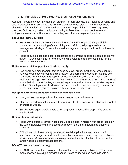# 3.1.1 Principles of Herbicide Resistant Weed Management

Adopt an integrated weed-management program for herbicide use that includes scouting and uses historical information related to herbicide use and crop rotation, and that considers tillage (or other mechanical control methods), cultural ( e.g., higher crop seeding rates; precision fertilizer application method and timing to favor the crop and not the weeds), biological (weed-competitive crops or varieties) and other management practices**.**

### **Scout and know your field**

- Know weed species present in the field to be treated through scouting and field history. An understanding of weed biology is useful in designing a resistance management strategy. Ensure the weed management program will control all weeds present.
- Fields should be scouted prior to application to determine species present and growth stage. Always apply this herbicide at the full labeled rate and correct timing for the weeds present in the field.

### **Utilize non-herbicidal practices to add diversity**

• Use diversified management tactics such as cover crops, mechanical weed control, harvest weed seed control, and crop rotation as appropriate. Use tank mixtures with herbicides from a different group if such use is permitted; where information on resistance in target weed species is available, use the less resistance-prone partner at a rate that will control the target weed(s) equally as well as the more resistance-prone partner. Consult your local extension service or certified crop advisor if you are unsure as to which active ingredient is currently less prone to resistance.

### **Use good agronomic practices, start clean and stay clean**

- Use good agronomic practices that enhance crop competitiveness.
- Plant into weed-free fields utilizing tillage or an effective burndown herbicide for control of emerged weeds.
- Sanitize farm equipment to avoid spreading seed or vegetative propagules prior to leaving fields.

### **Difficult to control weeds**

- Fields with difficult to control weeds should be planted in rotation with crops that allow the use of herbicides with an alternative mode of action or different management practices.
- Difficult to control weeds may require sequential applications, such as a broad spectrum preemergence herbicide followed by one or more postemergence herbicide applications. Utilize herbicides containing different modes of action effective on the target weeds in sequential applications.

### **DO NOT overuse the technology**

• **DO NOT** use more than two applications of this or any other herbicide with the same mode of action in a single growing season unless mixed with an herbicide with a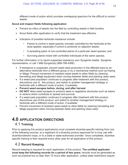different mode of action which provides overlapping spectrum for the difficult to control weeds.

### **Scout and inspect fields following application**

- Prevent an influx of weeds into the field by controlling weeds in field borders.
- Scout fields after application to verify that the treatment was effective.
- Indicators of possible herbicide resistance include:
	- Failure to control a weed species normally controlled by the herbicide at the dose applied, especially if control is achieved on adjacent weeds;
	- A spreading patch of non-controlled plants of a particular weed species; and
	- Surviving plants mixed with controlled individuals of the same species.

For further information or to report suspected resistance your Syngenta retailer, Syngenta representative, or call 1-866-Syngent(a) (866-796-4368).

- If resistance is suspected, prevent weed seed production in the affected area by an alternative herbicide from a different group or by a mechanical method such as hoeing or tillage. Prevent movement of resistant weed seeds to other fields by cleaning harvesting and tillage equipment when moving between fields and planting clean seed.
- If a weed pest population continues to progress after treatment with this product, discontinue use of this product, and switch to another management strategy or herbicide with a different mode of action, if available.
- **Prevent weed escapes before, during, and after harvest**
- **DO NOT** allow weed escapes to produce seed or vegetative structures such as tubers or stolons which contribute to spread and survival.
- If a weed pest population continues to progress after treatment with this product, discontinue use of this product, and switch to another management strategy or herbicide with a different mode of action, if available.
- Prevent movement of resistant weed seeds to other fields by cleaning harvesting and tillage equipment when moving between fields and planting clean seed.

# **4.0 APPLICATION DIRECTIONS** 4.1 **Training**

Prior to applying this product applicator(s) must complete dicamba-specific training from one of the following sources: a) a registrant of a dicamba product approved for in-crop use with dicamba-tolerant crops, or b) a state or state-authorized provider. Once completed, dicambaspecific training is then required every other year for all applicators of this product.

# 4.2 **Record Keeping**

Record keeping is required for each application of this product. **The certified applicator must keep the following records for a period of two years**; records must be generated as soon as practical but no later than 72 hours after application, unless state restrictions require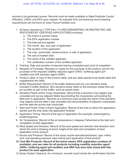records to be generated sooner. Records must be made available to State Pesticide Control Official(s), USDA, and EPA upon request. An example form summarizing record keeping requirements can be found on www.TaviumTankMix.com.

- 1. All Items required by 7 CFR Part 110 (RECORDKEEPING ON RESTRICTED USE PESTICIDES BY CERTIFIED APPLICATORS) including:
	- a. The brand or product name
	- b. The EPA registration number
	- c. The total amount applied
	- d. The month, day, and year of application
	- e. The location of the application
	- f. The crop, commodity, stored product, or site of application
	- g. The size of treated area
	- h. The name of the certified applicator
	- i. The certification number of the certified applicator
- 2. Training: Date and provider of required training completed and proof of completion.
- 3. Receipts of Purchase: Receipts or copies for the purchase of this product, and for the purchase of the required volatility reduction agent (VRA) / buffering agent (pH modifier) and drift reduction agent (DRA).
- 4. Product Label: A copy of this product label, and any state special local needs label that supplements this label.
- 5. Buffer Requirement: Record of the buffer distance and any non-sensitive areas included in buffer distance. Non-sensitive areas refers to the exclusion areas that can be counted as part of the buffer, such as paved areas.
- 6. Sensitive Plants and/or Crops Awareness: Record that a sensitive crop registry was consulted and survey adjacent fields documenting the crops/areas surrounding the field prior to application. Records at a minimum must include the name of the sensitive crop registry and the date it was consulted and documentation of adjacent crops/areas and the date the survey was conducted.
- 7. Start and Finish Times of Each Application: Record of the time at which the application started and the time when the application finished.
- 8. Application Timing: Record of the type of application (for example: preemergence, postemergence).
- 9. Air Temperature: Record of the air temperature in degrees Fahrenheit at the start and completion of each application.
- 10.Wind Speed and Direction: Record of the wind speed and direction (the direction from which the wind is blowing) at boom height at the start and completion of each application of this product.
- 11.Nozzle and Pressure: Record of the spray nozzle manufacturer/brand, type, orifice size, and operating pressure used during each application of this product.
- **12.Tank Mix Products: Record of the brand names, EPA registration numbers (if available), and use rates for all products including volatility reduction agent (VRA) / buffering agent (pH modifier) and DRA that were tank mixed with this product for each application.**
- 13.Spray System Cleanout: At a minimum, records must include the confirmation that the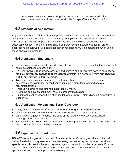spray system was clean before using this product and that the post-application cleanout was completed in accordance with the Sprayer Cleanout Section 4.9.

# 4.3 **Methods of Application**

Applications with A21472 Plus VaporGrip Technology alone or in tank mixtures are permitted with ground equipment only. This product may be applied using broadcast or hooded broadcast applications for postemergence weed control as well as residual control of susceptible weeds. Preplant, at-planting, preemergence and postemergence (In-crop) applications are allowed. All labeled application restrictions must be adhered to when using these application methods.

# 4.4 **Application Equipment**

- Configure spray equipment to provide accurate and uniform coverage of the target area and minimize potential for spray drift.
- Only use sprayers that provide accurate and uniform application with nozzles designed to produce **extremely coarse to ultra-coarse** droplets in order to minimize drift (**Section 6.3.1**) and provide uniform coverage.
- To ensure accuracy, calibrate sprayer before each use. For information on spray equipment and calibration, consult spray equipment manufacturers and/or state recommendations.
- Avoid using screens and strainers finer than 50-mesh.
- All ground application equipment must be properly maintained.
- Equipment must be cleaned out after use following Spray System Cleanout procedures in Section 4.9.

# 4.5 **Application Volume and Spray Coverage**

- x Apply alone or in tank mixtures **in a minimum of 15 gal/A of spray solution**.
- Good spray coverage of emerged weeds is essential for optimum control.
- When weed vegetation is dense, increase spray volume and pressures to ensure coverage of the target weeds.
- Spray boom and nozzle heights must be adjusted to provide coverage of target weeds but not more than 24 inches above the target.

# 4.6 **Equipment Ground Speed**

**DO NOT exceed a ground speed of 15 miles per hour.** Select a ground speed that will deliver the desired spray volume while maintaining the desired spray pressure, but slower speeds generally result in better spray coverage and deposition on the target area. Provided the applicator can maintain the required nozzle pressure, it is recommended that tractor speed is reduced to 5 miles per hour at field edges.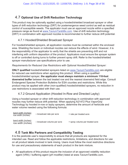# 4.7 **Optional Use of Drift Reduction Technology**

This product may be optionally applied using a hooded/shielded broadcast sprayer or other types of drift reduction technology (DRT) for postemergence weed control as well as residual control of susceptible weeds. The applicator must use an approved nozzle within a specified pressure range as found at www.TaviumTankMix.com. Use of drift reduction technology (DRT) in combination with approved nozzles is recommended to further reduce drift potential.

# 4.7.1 Hooded/Shielded Broadcast Sprayer

For hooded/shielded sprayers, all application nozzles must be contained within the enclosed area. Shielding the boom or individual nozzles can reduce the effects of wind. However, it is the responsibility of the applicator to verify that the shields are preventing drift and not interfering with uniform deposition of the product. Applicators must ensure the sprayer system is off or controlled during turns to further prevent spray drift. Refer to the hooded/shielded sprayer manufacturer use specifications prior to use.

# *Requirements for Reduced Use Restrictions with Optional Hooded/Shielded Sprayer:*

**ONLY qualified** hooded/shielded sprayers listed on www.TaviumTankMix.com are eligible for reduced use restrictions when applying this product. When using a qualified hooded/shielded sprayer, **the applicator must always maintain a minimum 110-foot downwind buffer** between the last treated row and the nearest downwind field edge. Consult Endangered Species Protection Bulletins for ESA counties and restrictions. While this product may be applied with other (non-qualified) hooded/shielded sprayers, no reduction in use restrictions is associated with their use.

# 4.7.2 Ground Application (Hooded In-Row and Directed Layby)

Using a hooded sprayer or other drift reduction technology in combination with approved nozzles may further reduce drift potential. When applying A21472 Plus VaporGrip Technology by hooded in-row or layby sprayers, determine the amount of herbicide and water volume needed using the following formula:

| band width (inches)<br>row width (inches) | * broadcast rate per acre   | $=$ rate per treated acre       |
|-------------------------------------------|-----------------------------|---------------------------------|
| band width (inches)<br>row width (inches) | * broadcast volume per acre | = spray volume per treated acre |

# 4.8 **Tank Mix Partners and Compatibility Testing**

It is the pesticide user's responsibility to ensure that all products are registered for the intended use. Read and follow the applicable restrictions, limitations, and directions for use on all product labels involved in tank mixing. Users must follow the most restrictive directions for use and precautionary statements of each product in the tank mixture.

• All applications of this product require the inclusion of an approved volatility reduction agent (VRA) / buffering agent (pH modifier) listed at www.TaviumTankMix.com.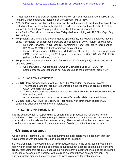- $\bullet$  All applications of this product require the inclusion of a drift reduction agent (DRA) in the tank mix, unless otherwise indicated on www.TaviumTankMix.com.
- A21472 Plus VaporGrip Technology may only be tank-mixed with products that have been tested and found not to adversely affect the offsite movement potential of A21472 Plus VaporGrip Technology. The applicator must check the website found at www.TaviumTankMix.com no more than 7 days before applying A21472 Plus VaporGrip Technology.
- For preplant, at-planting and preemergence applications, the following additives may be used. A complete list of approved products can be found at www.TaviumTankMix.com.
	- o Nonionic Surfactant (NIS) Use NIS containing at least 80% active ingredient at 0.25% v/v (1 qt/100 gal) of the finished spray volume.
	- o Crop Oil Concentrate (COC) or Methylated Seed Oil (MSO) Use a nonphytotoxic COC or MSO containing 15–20% approved emulsifier at 0.5–1.0% v/v (2-4 qt/100 gal) of the finished spray volume.
- For postemergence applications, use of a Nonionic Surfactant (NIS) additive described above is allowed.
	- o Use of a Crop Oil Concentrate (COC) or Methylated Seed Oil (MSO) for postemergence applications is not advised due to the potential for crop injury.

# 4.8.1 Tank-Mix Restrictions

- **DO NOT** tank mix any product with A21472 Plus VaporGrip Technology unless:
	- $\circ$  The intended tank-mix product is identified on the list of tested products found at www.TaviumTankMix.com;
	- $\circ$  The intended products are not prohibited on either this label or the label of the tank mix product; and
	- o All requirements and restrictions on www.TaviumTankMix.com; are followed.
- **DO NOT** apply A21472 Plus VaporGrip Technology with ammonium sulfate (AMS) containing additives, conditioners, or fertilizers.

# 4.8.2 Tank-Mix Precautions

It is the pesticide user's responsibility to ensure that all products are registered for the intended use. Read and follow the applicable restrictions and limitations and directions for use on all product labels involved in tank mixing. Users must follow the most restrictive directions for use and precautionary statements of each product in the tank mixture.

# 4.9 **Sprayer Cleanout**

As part of the Restricted Use Product requirements, applicators must document that they have complied with the Sprayer Clean-out section of this label

Severe crop injury may occur if any of this product remains in the spray system equipment following an application and the equipment is subsequently used for application to sensitive crops. After using this product, clean all mixing and spray equipment (including tanks, pumps, lines, filters, screens, and nozzles) with a strong detergent based sprayer cleaner. The rinsate must be disposed in compliance with local, state, and federal guidelines.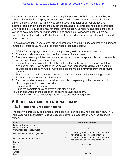Inadvertent contamination can also occur in equipment used for bulk product handling and mixing prior to use in the spray system. Care should be taken to reduce contamination not only in the spray system but in any equipment used to transfer or deliver product. For example, bulk handling and mixing equipment containing this product should be segregated when possible to reduce potential for cross-contamination. Consider using block and check valves to avoid backflow during transfer. Piping should be reviewed to ensure there not potential for product build-up. Dedicated nurse trucks and tender equipment should be used when possible.

To avoid subsequent injury to other crops, thoroughly clean mixing and application equipment immediately after spraying using the triple rinse procedures below:

- 1. **DO NOT** clean sprayer near desirable vegetation, wells or other water sources.
- 2. Drain and flush tank walls, boom and all hoses with clean water.
- 3. Prepare a cleaning solution with a detergent or a commercial sprayer cleaner or ammonia according to the product's use directions.
- 4. Be sure to wash all internal parts of the tank, including the inside top surface with the cleaning solution. Start agitation in the sprayer and thoroughly recirculate the cleaning solution for at least 15 minutes. All visible deposits must be removed from the spraying system.
- 5. Flush hoses, spray lines and nozzles for at least one minute with the cleaning solution.
- 6. Repeat steps 3-5 for two additional times.
- 7. Remove nozzles, screens and strainers, and clean separately in the cleaning solution after completing the above procedures.
- 8. Drain lines, filters and sump.
- 9. Rinse the complete spraying system with clean water.
- 10.Clean and wash off the outside of the entire sprayer and boom.
- 11.Dispose of all rinsate according to local, state and federal regulation.

# **5.0 REPLANT AND ROTATIONAL CROP**

# 5.1 **Rotational Crop Restrictions**

The following crops may be planted at the specified interval following application of A21472 Plus VaporGrip Technology. Exclude counting days from application when the ground is frozen.

| Crop                            | <b>Plant-Back Interval</b>                                                               |
|---------------------------------|------------------------------------------------------------------------------------------|
| Dicamba-tolerant cotton         |                                                                                          |
| Dicamba-tolerant soybeans       | 0 days                                                                                   |
| Corn (field, pop, seed, sweet)* |                                                                                          |
| Non-dicamba-tolerant soybeans   | 28 days following a minimum accumulation of 1<br>inch of rainfall or overhead irrigation |
|                                 |                                                                                          |
| Non-dicamba-tolerant cotton     | 42 days following a minimum accumulation of 1                                            |
|                                 | inch of rainfall or overhead irrigation                                                  |
| <b>Barley</b>                   |                                                                                          |
| Oats                            | $4\frac{1}{2}$ months                                                                    |
| Rye                             |                                                                                          |
| Wheat                           |                                                                                          |
| Alfalfa                         | 6 months                                                                                 |
| Bean                            |                                                                                          |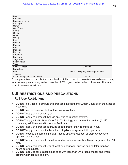| Beet                             |                                        |
|----------------------------------|----------------------------------------|
| <b>Broccoli</b>                  |                                        |
| <b>Brussels sprouts</b>          |                                        |
| Cabbage                          |                                        |
| Carrot                           |                                        |
| Cauliflower                      |                                        |
| Celery                           |                                        |
| Garlic                           |                                        |
| Lentil                           |                                        |
| Onion                            |                                        |
| Pea                              |                                        |
| Peanut                           |                                        |
| Pepper                           |                                        |
| Potato                           |                                        |
| Pumpkin                          |                                        |
| Radish                           |                                        |
| Sorghum                          |                                        |
| Sunflower                        |                                        |
| Sugar beet                       |                                        |
| Sweet potato                     |                                        |
| Tomato                           |                                        |
| Clover (seeded)                  | 9 months                               |
| <b>Buckwheat</b>                 |                                        |
| Rice                             | In the next spring following treatment |
| Tobacco                          |                                        |
| All other crops not listed above | 12 months                              |

\* User precaution for corn plantback: Application of this product to coarse-textured soils (sand, loamy sand, or sandy loam) or any soil with less than 2.5% organic matter under cool, wet conditions may result in transient crop injury.

# **6.0 RESTRICTIONS AND PRECAUTIONS**

# 6.1 **Use Restrictions**

- **DO NOT** sell, use or distribute this product in Nassau and Suffolk Counties in the State of New York.
- **DO NOT** use in nurseries, turf, or landscape plantings.
- **DO NOT** apply this product by air.
- **DO NOT** apply this product through any type of irrigation system.
- **DO NOT** apply A21472 Plus VaporGrip Technology with ammonium sulfate (AMS) containing additives, conditioners, or fertilizers.
- **DO NOT** apply this product at ground speed greater than 15 miles per hour.
- **DO NOT** apply this product in less than 15 gallons of spray solution per acre.
- **DO NOT** exceed a boom height of 24 inches above target pest or crop canopy when applying this product.
- **DO NOT** apply this product when the wind speeds are less than 3 mph or greater than 10 mph.
- **DO NOT** apply this product until at least one hour after sunrise and no later than two hours before sunset.
- **DO NOT** apply to soils classified as sand with less than 3% organic matter and where groundwater depth is shallow.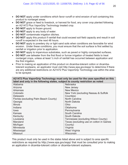- **DO NOT** apply under conditions which favor runoff or wind erosion of soil containing this product to nontarget areas.
- **DO NOT** graze or feed to livestock, or harvest for food, any cover crop planted following an A21472 Plus VaporGrip Technology treated crop.
- **DO NOT** apply to frozen ground.
- **DO NOT** apply to any body of water.
- **DO NOT** contaminate irrigation ditches.
- DO NOT apply this product if rainfall that could exceed soil field capacity and result in soil runoff is expected in the next 48 hours.
- **DO NOT** apply to powdery dry or light sand soils when conditions are favorable for wind erosion. Under these conditions, you must ensure that the soil surface is first settled by rainfall or irrigation prior to application.
- **DO NOT** apply to impervious substrates, such as paved or highly compacted surfaces.
- **DO NOT** use tailwater from the first flood or furrow irrigation of treated fields to treat nontarget crops, unless at least ½ inch of rainfall has occurred between application and the first irrigation.
- Prior to making an application of this product on dicamba-tolerant cotton or dicambatolerant soybeans, an applicator must visit http://www.epa.gov/espp/ to determine if there are any additional restrictions on A21472 Plus VaporGrip Technology use within the area to be sprayed.

| A21472 Plus VaporGrip Technology must only be used for the uses specified on this |                                          |  |  |
|-----------------------------------------------------------------------------------|------------------------------------------|--|--|
| label and only in the following states, subject to county restriction as noted    |                                          |  |  |
| Alabama                                                                           | <b>Nebraska</b>                          |  |  |
| Arizona                                                                           | New Jersey                               |  |  |
| <b>Arkansas</b>                                                                   | <b>New Mexico</b>                        |  |  |
| Colorado                                                                          | New York (excluding Nassau & Suffolk     |  |  |
| <b>Delaware</b>                                                                   | Counties)                                |  |  |
| Florida (excluding Palm Beach County)                                             | <b>North Carolina</b>                    |  |  |
| Georgia                                                                           | North Dakota                             |  |  |
| <b>Illinois</b>                                                                   | Ohio                                     |  |  |
| Indiana                                                                           | Oklahoma                                 |  |  |
| lowa                                                                              | Pennsylvania                             |  |  |
| Kansas                                                                            | South Carolina                           |  |  |
| Kentucky                                                                          | South Dakota                             |  |  |
| Louisiana                                                                         | Tennessee (excluding Wilson County)      |  |  |
| Maryland                                                                          | Texas (excluding use on cotton in Gaines |  |  |
| Michigan                                                                          | County)                                  |  |  |
| Minnesota                                                                         | Virginia                                 |  |  |
| <b>Mississippi</b>                                                                | West Virginia                            |  |  |
| <b>Missouri</b>                                                                   | Wisconsin                                |  |  |

This product must only be used in the states listed above and is subject to area specific restrictions as required by http://www.epa.gov/espp/ that must be consulted prior to making an application in dicamba-tolerant cotton or dicamba-tolerant soybeans.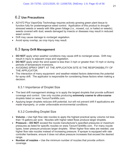# 6.2 **Use Precautions**

- A21472 Plus VaporGrip Technology requires actively growing green plant tissue to function fully for postemergence weed control. Application of this product to droughtstressed weeds or weeds with little green foliage (i.e., mowed, cut, or hailed on weeds); weeds covered with dust; weeds damaged by insects or diseases may result in reduced weed control.
- Drift may cause damage to nontarget vegetation.
- Avoid spray overlap, as crop injury may result.

# 6.3 **Spray Drift Management**

- **DO NOT** apply when weather conditions may cause drift to nontarget areas. Drift may result in injury to adjacent crops and vegetation.
- **DO NOT** apply when the wind speed is less than 3 mph or greater than 10 mph or during periods of temperature inversions.
- **AVOIDING SPRAY DRIFT AT THE APPLICATION SITE IS THE RESPONSIBILITY OF** THE APPLICATOR.
- The interaction of many equipment- and weather-related factors determines the potential for spray drift. The applicator is responsible for considering these factors when making a decision.

# 6.3.1 Importance of Droplet Size

- The best drift management strategy is to apply the largest droplets that provide sufficient coverage and control. Use only nozzles producing **extremely coarse to ultra-coarse** droplets listed on www.TaviumTankMix.com.
- Applying larger droplets reduces drift potential, but will not prevent drift if applications are made improperly, or under unfavorable environmental conditions.

# 6.3.2 Controlling Droplet Size

- **Volume –** Use high flow rate nozzles to apply the highest practical spray volume not less than 15 gallons per acre. Nozzles with higher rated flows produce larger droplets.
- **Pressure DO NOT** exceed the nozzle manufacturer's specified pressures or maximum pressures as listed for specific nozzles on www.TaviumTankMix.com. For many nozzle types, lower pressure produces larger droplets. When higher flow rates are needed, use higher flow rate nozzles instead of increasing pressure. If sprayer is equipped with rate controller hardware, ensure it does not allow pressure increases that exceed the desired range.
- **Number of nozzles –** Use the minimum number of nozzles that provide uniform coverage.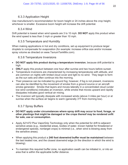# 6.3.3 Application Height

Use manufacturer's recommendation for boom height or 24 inches above the crop height, whichever is smaller. Excessive boom height will increase the drift potential.

# 6.3.4 Wind

Drift potential is lowest when wind speeds are 3 to 10 mph. **DO NOT** apply this product when the wind speed is less than 3 mph or greater than 10 mph.

# 6.3.5 Temperature and Humidity

When making applications in hot and dry conditions, set up equipment to produce larger droplets to compensate for evaporation (for example: increase orifice size and/or increase spray volume as directed on www.TaviumTankMix.com).

# 6.3.6 Temperature Inversions

- **DO NOT apply this product during a temperature inversion**, because drift potential is high.
- ONLY apply this product between one hour after sunrise and two hours before sunset.
- Temperature inversions are characterized by increasing temperatures with altitude, and are common on nights with limited cloud cover and light to no wind. They begin to form as the sun sets and often continue into the morning.
- Their presence can be indicated by ground fog; however, if fog is not present, inversions can also be identified by the movement of smoke from a ground source or an aircraft smoke generator. Smoke that layers and moves laterally in a concentrated cloud (under low wind conditions) indicates an inversion, while smoke that moves upward and rapidly dissipates indicates good vertical air mixing.
- The inversion will typically dissipate with increased winds (above 3 miles per hour) or at sunrise when the surface air begins to warm (generally 3°F from morning low).

# 6.3.7 Spray Buffers

- x **DO NOT apply under circumstances where spray drift may occur to food, forage, or other plantings that might be damaged or the crops thereof may be rendered unfit for sale, use or consumption.**
- Apply A21472 Plus VaporGrip Technology only when the potential for drift to adjacent sensitive areas (e.g., residential areas, bodies of water, known habitat for threatened or endangered species, nontarget crops) is minimal (i.e., when wind is blowing away from the sensitive areas).
- When applying this product a **240 foot downwind buffer must be maintained** between the last treated row, and the closest downwind edge (in the direction in which the wind is blowing).
- To maintain this required buffer zone, no application swath can be initiated in, or into an area that is within the applicable buffer distance.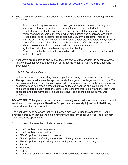- The following areas may be included in the buffer distance calculation when adjacent to field edges:
	- o Roads, paved or gravel surfaces, mowed grass areas, and areas of bare ground from recent plowing or grading that are contiguous to the treated field.
	- o Planted agricultural fields containing: corn, dicamba-tolerant cotton, dicambatolerant soybeans, sorghum, proso millet, small grains and sugarcane and other crops approved for postemergence dicamba use. If the applicator intends to include such crops as dicamba-tolerant cotton and/or dicamba-tolerant soybeans in the buffer distance calculation, the applicator must confirm the crops are in fact dicamba-tolerant and not conventional cotton and/or soybeans.
	- o Agricultural fields that have been prepared for planting.
	- $\circ$  Areas covered by the footprint of a building, silo, or other man-made structure with walls and/or roof
- Applicators are required to ensure that they are aware of the proximity to sensitive areas, to avoid potential adverse effects from off-target movement of A21472 Plus VaporGrip Technology.

# 6.3.8 Sensitive Crops

To protect sensitive crops including cover crops, the following restrictions must be followed.

• The applicator must survey the application site for adjacent nontarget sensitive crops. The applicator must also consult applicable sensitive crop registries to identify any commercial specialty or certified organic crops that may be located near the application site. At a minimum, records must include the name of the sensitive crop registry and the date it was consulted and documentation of adjacent crops/areas and the date the survey was conducted.

**DO NOT APPLY** this product when the wind is blowing toward adjacent non-dicamba-tolerant sensitive crops and/or plants. **Sensitive Crops may be severely injured or killed if they are contacted by this product**.

The applicator must be aware that wind direction may vary during the application. If wind direction shifts such that the wind is blowing toward adjacent sensitive crops, the applicator must STOP the application.

Crops known to be sensitive include but are not limited to:

- non-dicamba-tolerant soybeans
- non-dicamba-tolerant cotton
- EPA Crop Group 6 (peas and beans)
- EPA Crop Group 8 (fruiting vegetables including peppers and tomatoes)
- EPA Crop Group 9 (cucurbit group including cucumbers and melons)
- $\bullet$  flowers
- $\bullet$  fruit trees
- $\bullet$  grapes
- ornamental plantings including broadleaf ornamentals grown in greenhouses and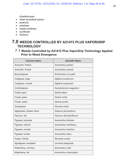shadehouses

- other broadleaf plants
- $\bullet$  peanuts
- $\bullet$  potatoes
- sweet potatoes
- sunflower
- $\bullet$  tobacco

# **7.0 WEEDS CONTROLLED BY A21472 PLUS VAPORGRIP TECHNOLOGY**

# 7.1 **Weeds Controlled by A21472 Plus VaporGrip Technology Applied Prior to Weed Emergence**

| <b>Common Name</b>        | <b>Scientific Name</b>   |  |
|---------------------------|--------------------------|--|
| Amaranth, Palmer          | Amaranthus palmeri       |  |
| Amaranth, Powell          | Amaranthus powellii      |  |
| Barnyardgrass             | Echinochloa crus-galli   |  |
| Crabgrass, large          | Digitaria ischaemum      |  |
| Crabgrass, smooth         | Digitaria sanguinalis    |  |
| Crowfootgrass             | Dactyloctenium aegyptium |  |
| Foxtail, giant            | Setaria faberi           |  |
| Foxtail, green            | Setaria viridis          |  |
| Foxtail, yellow           | Setaria pumila           |  |
| Goosegrass                | Eleusine indica          |  |
| Nightshade, Eastern black | Solanum ptychanthum      |  |
| Panicum, fall             | Panicum dichotomiflorum  |  |
| Pigweed, prostrate        | Amaranthus blitoides     |  |
| Pigweed, redroot          | Amaranthus retroflexus   |  |
| Pigweed, smooth           | Amaranthus hybridus      |  |
| Pigweed, tumble           | Amaranthus albus         |  |
| Pusley, Florida           | Richardia scabra         |  |
| Signalgrass, broadleaf    | Urochloa platyphylla     |  |
| Waterhemp, common         | Amaranthus rudis         |  |
| Waterhemp, tall           | Amaranthus tuberculatus  |  |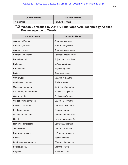| <b>Common Name</b> | <b>Scientific Name</b> |
|--------------------|------------------------|
| Witchgrass         | Panicum capillare      |

# 7.2 **Weeds Controlled by A21472 Plus VaporGrip Technology Applied Postemergence to Weeds**

| <b>Common Name</b>      | <b>Scientific Name</b> |
|-------------------------|------------------------|
| Amaranth, Palmer        | Amaranthus palmeri     |
| Amaranth, Powell        | Amaranthus powellii    |
| Amaranth, spiny         | Amaranthus spinosus    |
| Beggarweed, Florida     | Desmodium tortuosum    |
| Buckwheat, wild         | Polygonum convolvulus  |
| <b>Buffalobur</b>       | Solanum rostratum      |
| <b>Burcucumber</b>      | Sicyos angulatus       |
| <b>Buttercup</b>        | Ranunculus spp.        |
| Carpetweed              | Mullugo verticillata   |
| Chickweed, common       | Stellaria media        |
| Cocklebur, common       | Xanthium strumarium    |
| Copperleaf, hophornbeam | Acalypha ostryifolia   |
| Croton, tropic          | Croton glandulosus     |
| Cutleaf eveningprimrose | Oenothera laciniata    |
| Falseflax, smallseed    | Camelina microcarpa    |
| Fleabane, annual        | Erigeron annus         |
| Goosefoot, nettleleaf   | Chenopodium murale     |
| Henbit                  | Lamium amplexicaule    |
| Horseweed/Marestail     | Conyza canadensis      |
| Jimsonweed              | Datura stramonium      |
| Knotweed, prostate      | Polygonum aviculare    |
| Kochia                  | Kochia scoparia        |
| Lambsquarters, common   | Chenopodium album      |
| Lettuce, prickly        | Lactuca serriola       |
| Mayweed                 | Anthemis cotula        |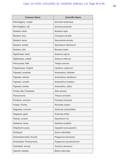| <b>Common Name</b>       | <b>Scientific Name</b>     |  |
|--------------------------|----------------------------|--|
| Morningglory, ivyleaf    | Ipomoea hederacea.         |  |
| Morninglglory, tall      | Ipomoea purpurea           |  |
| Mustard, black           | Brassica nigra             |  |
| Mustard, blue            | Chorispora tenella         |  |
| Mustard, tansy           | Descurainia pinnata        |  |
| Mustard, tumble          | Sisymbrium altissimum      |  |
| Mustard, wild            | Brassica kaber             |  |
| Nightshade, black        | Solanum nigrum             |  |
| Nightshade, cutleaf      | Solanum triflorum          |  |
| Pennycress, field        | Thlaspi arvense            |  |
| Pepperweed, Virginia     | Lepidium virginicum        |  |
| Pigweed, prostrate       | Amaranthus, blitoides      |  |
| Pigweed, redroot         | Amaranthus retroflexus     |  |
| Pigweed, smooth          | Amaranthus hyrbidus        |  |
| Pigweed, tumble          | Amaranthus, albus          |  |
| Prickly sida (Teaweed)   | Sida spinosa               |  |
| Puncturevine             | <b>Tribulus terrestris</b> |  |
| Purslane, common         | Portulaca oleracea         |  |
| Pusley, Florida          | Richardia scabra           |  |
| Ragweed, common          | Ambrosia artemisiifolia    |  |
| Ragweed, giant           | Ambrosia trifida           |  |
| Rocket, London           | Sisymbrium irio            |  |
| Sesbania, hemp           | Sesbania exaltata          |  |
| Shepherd's purse         | Capsella bursa-pastoris    |  |
| Sicklepod                | Senna obtusifolia          |  |
| Smartweed (lady's thumb) | Polygonum persicaria       |  |
| Smartweed, Pennsylvania  | Polygonum pensylvanicum    |  |
| Sowthistle, annual       | Sonchus oleraceus          |  |
| Spanish needles          | <b>Bidens bipinnata</b>    |  |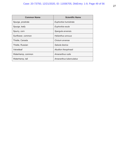| <b>Common Name</b> | <b>Scientific Name</b>  |
|--------------------|-------------------------|
| Spurge, prostrate  | Euphorbia humistrata    |
| Spurge, leafy      | Euphorbia esula         |
| Spurry, corn       | Spergula arvensis.      |
| Sunflower, common  | Helianthus annuus       |
| Thistle, Canada    | Cirsium arvense         |
| Thistle, Russian   | Salsola iberica         |
| Velvetleaf         | Abutilon theophrasti    |
| Waterhemp, common  | Amaranthus rudis        |
| Waterhemp, tall    | Amaranthus tuberculatus |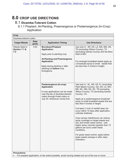# **8.0 CROP USE DIRECTIONS**

# 8.1 **Dicamba-Tolerant Cotton**

# 8.1.1 Preplant, At-Planting, Preemergence or Postemergence (In-Crop) Application

| <b>Crop</b>                             |                                                                                                                                                                                            |                                                                                                                                                                                             |                                                                                                                                                                                                                                                                                                                                                                                                                                                                                                                                                                                                                                                                                                                                 |  |
|-----------------------------------------|--------------------------------------------------------------------------------------------------------------------------------------------------------------------------------------------|---------------------------------------------------------------------------------------------------------------------------------------------------------------------------------------------|---------------------------------------------------------------------------------------------------------------------------------------------------------------------------------------------------------------------------------------------------------------------------------------------------------------------------------------------------------------------------------------------------------------------------------------------------------------------------------------------------------------------------------------------------------------------------------------------------------------------------------------------------------------------------------------------------------------------------------|--|
| Dicamba-tolerant cotton                 |                                                                                                                                                                                            |                                                                                                                                                                                             |                                                                                                                                                                                                                                                                                                                                                                                                                                                                                                                                                                                                                                                                                                                                 |  |
| <b>Target Weeds</b>                     | Rate<br>(pt/A)                                                                                                                                                                             | <b>Application Timing</b>                                                                                                                                                                   | <b>Use Directions</b>                                                                                                                                                                                                                                                                                                                                                                                                                                                                                                                                                                                                                                                                                                           |  |
| Weeds listed in<br>Section 7.1 &<br>7.2 | 3.53<br><b>Burndown/Preplant</b><br><b>Application:</b><br>Apply prior to planting crop.<br><b>Application</b><br>Apply during planting or after<br>planting but before crop<br>emergence. | <b>At-Planting and Preemergence</b>                                                                                                                                                         | Use only in: AR, KS, LA, MS, NM, OK,<br>TN (excluding Wilson County), TX<br>(excluding Gaines County) and the Boot<br>Heel of MO.<br>For emerged broadleaf weeds apply as<br>a broadcast spray to small weeds that<br>are less than 4 inches in height.                                                                                                                                                                                                                                                                                                                                                                                                                                                                         |  |
|                                         |                                                                                                                                                                                            | Postemergence (In-crop)<br><b>Application</b><br>In-crop applications can be made<br>over-the-top of dicamba-tolerant<br>cotton through 6-leaf cotton or<br>July 30, whichever comes first. | Use only in: AL, AR, AZ, FL (excluding<br>Palm Beach County), GA, KS, LA, MO,<br>MS, NC, NM, OK, SC, TN (excluding<br>Wilson County), TX (excluding Gaines<br>County), VA.<br>Apply as a postemergence broadcast<br>spray to small broadleaf weeds that are<br>less than 4 inches in height.<br>If at least $\frac{1}{2}$ inch of rainfall does not<br>occur within 10 days after application,<br>cultivate shallowly.<br>Crop canopy interference can reduce<br>spray coverage on target weeds and<br>soil, and hinder weed control. Use<br>higher spray volumes (greater than 15<br>gallons per acre) under these<br>conditions.<br>For grass weed control, apply before<br>grass weeds emerge or after clean<br>cultivation. |  |
| <b>Precautions:</b>                     |                                                                                                                                                                                            |                                                                                                                                                                                             |                                                                                                                                                                                                                                                                                                                                                                                                                                                                                                                                                                                                                                                                                                                                 |  |

 $\, \mid \, \bullet \quad$  For preplant application, to the extent possible, avoid moving treated soil out of the row or move  $\,$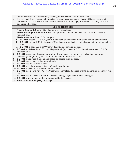| $\bullet$ | untreated soil to the surface during planting, or weed control will be diminished.<br>If heavy rainfall occurs soon after application, crop injury may occur. Injury will be more severe in<br>poorly drained areas where water stands for several hours or days, or where the seeding slit has not<br>been properly closed. |
|-----------|------------------------------------------------------------------------------------------------------------------------------------------------------------------------------------------------------------------------------------------------------------------------------------------------------------------------------|
|           | <b>USE RESTRICTIONS</b>                                                                                                                                                                                                                                                                                                      |
| 1)<br>2)  | Refer to Section 6.1 for additional product use restrictions.<br>Maximum Single Application Rate: 3.53 pt/A (equivalent to 0.5 lb dicamba ae/A and 1.0 lb S-<br>metolachlor/A)                                                                                                                                               |
| 3)        | Maximum Annual Rate: 7.06 pt/A/year                                                                                                                                                                                                                                                                                          |
|           | a. DO NOT exceed 1.9 lb ai/A/year of S-metolachlor-containing products on coarse-textured soils.<br>b. DO NOT exceed 2.48 lb ai/A/year of S-metolachlor-containing products on medium- or fine-textured<br>soils.                                                                                                            |
|           | c. DO NOT exceed 2.0 lb ae/A/year of dicamba-containing products.                                                                                                                                                                                                                                                            |
|           | 4) DO NOT apply less than 3.53 pt of this product/A (equivalent to 0.5 lb dicamba ae/A and 1.0 lb S-<br>metolachlor/A).                                                                                                                                                                                                      |
|           | 5) DO NOT make more than one preplant or at-planting or preemergence application, and/or one<br>postemergence (In-crop) application on medium-or fine-textured soils.                                                                                                                                                        |
|           | 6) DO NOT make more than one application on coarse-textured soils.                                                                                                                                                                                                                                                           |
| 7)        | DO NOT use on sand or loamy sand soils.                                                                                                                                                                                                                                                                                      |
| 8)        | <b>DO NOT</b> use on Taloka silt loam.                                                                                                                                                                                                                                                                                       |
| 9)        | <b>DO NOT</b> use where water is likely to "pond" over the bed.                                                                                                                                                                                                                                                              |
|           | 10) DO NOT apply to non-dicamba-tolerant cotton.                                                                                                                                                                                                                                                                             |
|           | 11) DO NOT incorporate A21472 Plus VaporGrip Technology if applied prior to planting, or crop injury may<br>result.                                                                                                                                                                                                          |
|           | 12) DO NOT use in Gaines County, TX; Wilson County, TN; or Palm Beach County, FL.<br>13) DO NOT graze or feed treated forage or fodder to livestock.<br>14) Pre-harvest Interval (PHI): 100 days                                                                                                                             |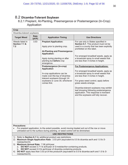# 8.2 **Dicamba-Tolerant Soybean**

8.2.1 Preplant, At-Planting, Preemergence or Postemergence (In-Crop) Application

| Crop                                                                                                                                                                                                                                                                                     |                           |                                                                                                                                                                                                                                                                                                                                                                                                            |                                                                                                                                                                                                                                                                                                                                                                                                                                                                                                                                                                                                                                                                                    |  |
|------------------------------------------------------------------------------------------------------------------------------------------------------------------------------------------------------------------------------------------------------------------------------------------|---------------------------|------------------------------------------------------------------------------------------------------------------------------------------------------------------------------------------------------------------------------------------------------------------------------------------------------------------------------------------------------------------------------------------------------------|------------------------------------------------------------------------------------------------------------------------------------------------------------------------------------------------------------------------------------------------------------------------------------------------------------------------------------------------------------------------------------------------------------------------------------------------------------------------------------------------------------------------------------------------------------------------------------------------------------------------------------------------------------------------------------|--|
|                                                                                                                                                                                                                                                                                          | Dicamba-tolerant soybeans |                                                                                                                                                                                                                                                                                                                                                                                                            |                                                                                                                                                                                                                                                                                                                                                                                                                                                                                                                                                                                                                                                                                    |  |
| <b>Target Weed</b>                                                                                                                                                                                                                                                                       | Rate<br>(pt/A)            | <b>Application Timing</b>                                                                                                                                                                                                                                                                                                                                                                                  | <b>Use Directions</b>                                                                                                                                                                                                                                                                                                                                                                                                                                                                                                                                                                                                                                                              |  |
| Weeds listed in<br>Section 7.1 &<br>7.2                                                                                                                                                                                                                                                  | 3.53                      | <b>Preplant Application:</b><br>Apply prior to planting crop.<br><b>At-Planting and Preemergence</b><br><b>Application:</b><br>Apply during planting or after<br>planting but before crop<br>emergence.<br>Postemergence (In-crop)<br><b>Application</b><br>In-crop applications can be<br>made over-the-top of dicamba-<br>tolerant soybeans through V4<br>soybeans or June 30, whichever<br>comes first. | For use only in States specified in<br>Section 6.1. This product must not be<br>used in a county that has been explicitly<br>prohibited on this label.<br>For emerged broadleaf weeds, apply as<br>a broadcast spray to small weeds that<br>are less than 4 inches in height.<br><b>For Postemergence Applications:</b><br>For emerged broadleaf weeds, apply as<br>a broadcast spray to small weeds that<br>are less than 4 inches in height.<br>For grass weed control, apply before<br>grass weeds emerge.<br>Dicamba-tolerant soybeans may exhibit<br>leaf drooping following postemergence<br>application. This response is transient<br>and the soybeans will fully recover. |  |
| <b>Precautions:</b>                                                                                                                                                                                                                                                                      |                           | For preplant application, to the extent possible, avoid moving treated soil out of the row or move<br>untreated soil to the surface during planting, or weed control will be diminished.                                                                                                                                                                                                                   |                                                                                                                                                                                                                                                                                                                                                                                                                                                                                                                                                                                                                                                                                    |  |
|                                                                                                                                                                                                                                                                                          |                           |                                                                                                                                                                                                                                                                                                                                                                                                            |                                                                                                                                                                                                                                                                                                                                                                                                                                                                                                                                                                                                                                                                                    |  |
|                                                                                                                                                                                                                                                                                          |                           | <b>USE RESTRICTIONS</b>                                                                                                                                                                                                                                                                                                                                                                                    |                                                                                                                                                                                                                                                                                                                                                                                                                                                                                                                                                                                                                                                                                    |  |
| Refer to Section 6.1 for additional product use restrictions.<br>1)<br>Maximum Single Application Rate: 3.53 pt/A (equivalent to 0.5 lb dicamba ae/A and 1.0 lb S-<br>2)<br>metolachlor/A)<br>Maximum Annual Rate: 7.06 pt/A/year<br>3)                                                  |                           |                                                                                                                                                                                                                                                                                                                                                                                                            |                                                                                                                                                                                                                                                                                                                                                                                                                                                                                                                                                                                                                                                                                    |  |
| <b>DO NOT</b> exceed 3.71 lb ai/A/year of S-metolachlor-containing products.<br>a.<br>DO NOT exceed 2.0 lb ae/A/year of dicamba-containing products.<br>b.<br>DO NOT apply less than 3.53 pt of this product/A (equivalent to 0.5 lb dicamba ae/A and 1.0 lb S-<br>4)<br>metolachlor/A). |                           |                                                                                                                                                                                                                                                                                                                                                                                                            |                                                                                                                                                                                                                                                                                                                                                                                                                                                                                                                                                                                                                                                                                    |  |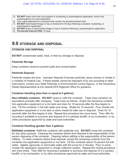- 5) **DO NOT** make more than one preplant or at-planting or preemergence application, and/or one postemergence (In-crop) application.
- 6) Only make applications to soybeans that contain the dicamba-tolerant trait.
- 7) **DO NOT** feed treated forage or hay to livestock for 30 days following a preplant, at-planting, or preemergence application.
- 8) **DO NOT** graze or feed treated forage or hay to livestock following a postemergence application.
- 9) **Pre-harvest Interval (PHI):** 75 days

# **9.0 STORAGE AND DISPOSAL**

### **STORAGE AND DISPOSAL**

**DO NOT** contaminate water, food, or feed by storage or disposal.

### **Pesticide Storage**

Keep container closed to prevent spills and contamination.

### **Pesticide Disposal**

Pesticide wastes are toxic. Improper disposal of excess pesticide, spray mixture or rinsate is a violation of Federal Law. If these wastes cannot be disposed of by use according to label instructions, contact your State Pesticide or Environmental Control Agency, or the Hazardous Waste Representative at the nearest EPA Regional Office for guidance.

### **Container Handling (less than or equal to 5 gallons)**

**Non-refillable container. DO NOT** reuse or refill this container. Triple rinse container (or equivalent) promptly after emptying. Triple rinse as follows: Empty the remaining contents into application equipment or a mix tank and drain for 10 seconds after the flow begins to drip. Fill the container ¼ full with water and recap. Shake for 10 seconds. Pour rinsate into application equipment or a mix tank or store rinsate for later use or disposal. Drain for 10 seconds after the flow begins to drip. Repeat this procedure two more times. Then offer for recycling if available or puncture and dispose of in a sanitary landfill, or by incineration, or by other procedures approved by state and local authorities.

### **Container Handling (greater than 5 gallons)**

**Refillable container.** Refill this container with pesticide only. **DO NOT** reuse this container for any other purpose. Cleaning the container before final disposal is the responsibility of the person disposing of the container. Cleaning before refilling is the responsibility of the person refilling. To clean container before final disposal, empty the remaining contents from this container into application equipment or mix tank. Fill the container about 10 percent full with water. Agitate vigorously or recirculate water with the pump for 2 minutes. Pour or pump rinsate into application equipment or rinsate collection system. Repeat this rinsing procedure two more times. Then offer for recycling if available or puncture and dispose of in a sanitary landfill, or by incineration, or by other procedures approved by state and local authorities.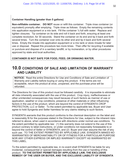### **Container Handling (greater than 5 gallons)**

**Non-refillable container. DO NOT** reuse or refill this container. Triple rinse container (or equivalent) promptly after emptying. Triple rinse as follows: Empty the remaining contents into application equipment or a mix tank. Fill the container  $\frac{1}{4}$  full with water. Replace and tighten closures. Tip container on its side and roll it back and forth, ensuring at least one complete revolution, for 30 seconds. Stand the container on its end and tip it back and forth several times. Turn the container over onto its other end and tip it back and forth several times. Empty the rinsate into application equipment or a mix tank or store rinsate for later use or disposal. Repeat this procedure two more times. Then offer for recycling if available or puncture and dispose of in a sanitary landfill, or by incineration, or by other procedures approved by state and local authorities.

### **CONTAINER IS NOT SAFE FOR FOOD, FEED, OR DRINKING WATER.**

# **10.0 CONDITIONS OF SALE AND LIMITATION OF WARRANTY AND LIABILITY**

**NOTICE:** Read the entire Directions for Use and Conditions of Sale and Limitation of Warranty and Liability before buying or using this product. If the terms are not acceptable, return the product at once, unopened, and the purchase price will be refunded.

The Directions for Use of this product must be followed carefully. It is impossible to eliminate all risks inherently associated with the use of this product. Crop injury, ineffectiveness or other unintended consequences may result because of such factors as manner of use or application, weather or crop conditions, presence of other materials or other influencing factors in the use of the product, which are beyond the control of SYNGENTA CROP PROTECTION, LLC or Seller. To the extent permitted by applicable law, Buyer and User agree to hold Syngenta and Seller harmless for any claims relating to such factors.

SYNGENTA warrants that this product conforms to the chemical description on the label and is reasonably fit for the purposes stated in the Directions for Use, subject to the inherent risks referred to above, when used in accordance with directions under normal use conditions. To the extent permitted by applicable law: (1) this warranty does not extend to the use of this product contrary to label instructions, or under conditions not reasonably foreseeable to or beyond the control of Seller or SYNGENTA, and (2) Buyer and User assume the risk of any such use. TO THE EXTENT PERMITTED BY APPLICABLE LAW, SYNGENTA MAKES NO WARRANTIES OF MERCHANTABILITY OR OF FITNESS FOR A PARTICULAR PURPOSE NOR ANY OTHER EXPRESS OR IMPLIED WARRANTY EXCEPT AS WARRANTED BY THIS LABEL.

To the extent permitted by applicable law, in no event shall SYNGENTA be liable for any incidental, consequential or special damages resulting from the use or handling of this product. **TO THE EXTENT PERMITTED BY APPLICABLE LAW, THE EXCLUSIVE REMEDY OF THE USER OR BUYER, AND THE EXCLUSIVE LIABILITY OF SYNGENTA**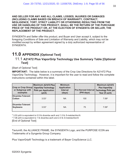**AND SELLER FOR ANY AND ALL CLAIMS, LOSSES, INJURIES OR DAMAGES (INCLUDING CLAIMS BASED ON BREACH OF WARRANTY, CONTRACT, NEGLIGENCE, TORT, STRICT LIABILITY OR OTHERWISE) RESULTING FROM THE USE OR HANDLING OF THIS PRODUCT, SHALL BE THE RETURN OF THE PURCHASE PRICE OF THE PRODUCT OR, AT THE ELECTION OF SYNGENTA OR SELLER, THE REPLACEMENT OF THE PRODUCT.**

SYNGENTA and Seller offer this product, and Buyer and User accept it, subject to the foregoing Conditions of Sale and Limitation of Warranty and Liability, which may not be modified except by written agreement signed by a duly authorized representative of SYNGENTA.

# **11.0 APPENDIX [Optional Text]**

# 11.1 **A21472 Plus VaporGrip Technology Use Summary Table [Optional Text]**

### [Start of Optional Text]

**IMPORTANT:** The table below is a summary of the Crop Use Directions for A21472 Plus VaporGrip Technology. However, it is important for the user to read and follow the complete instructions contained within this label.

| <b>Crop or Crop Group</b><br>or Subgroup with<br>examples | Maximum A21472 Plus l<br><b>VaporGrip Technology</b><br><b>Rate per Application</b><br>(pt/A) | <b>Minimum</b><br><b>Application</b><br><b>Interval</b><br>(days) | <b>Pre-Harvest Interval</b><br>(PHI days) | Maximum A21472<br><b>Plus VaporGrip</b><br><b>Technology Rate per</b><br>Year (fl oz/A) |
|-----------------------------------------------------------|-----------------------------------------------------------------------------------------------|-------------------------------------------------------------------|-------------------------------------------|-----------------------------------------------------------------------------------------|
| Dicamba-Tolerant<br><b>Cotton</b>                         | 3.53 <sup>1</sup>                                                                             | ΝA                                                                | 100                                       | 7.06 <sup>2</sup>                                                                       |
| Dicamba-Tolerant<br><b>Soybeans</b>                       | 3.53 <sup>1</sup>                                                                             | ΝA                                                                | 75                                        | 7.06 <sup>2</sup>                                                                       |

**<sup>1</sup>** 3.53 pt/A is equivalent to 0.5 lb dicamba ae/A and 1.0 lb *S*-metolachlor/A <sup>2</sup> 7.06 pt/A is equivalent to 1 lb dicamba ae/A and 2.0 lb *S*-metolachlor/A [End of Optional Text]

Tavium®, the ALLIANCE FRAME, the SYNGENTA Logo, and the PURPOSE ICON are Trademarks of a Syngenta Group Company

Plus VaporGrip® Technology is a trademark of Bayer CropScience LLC.